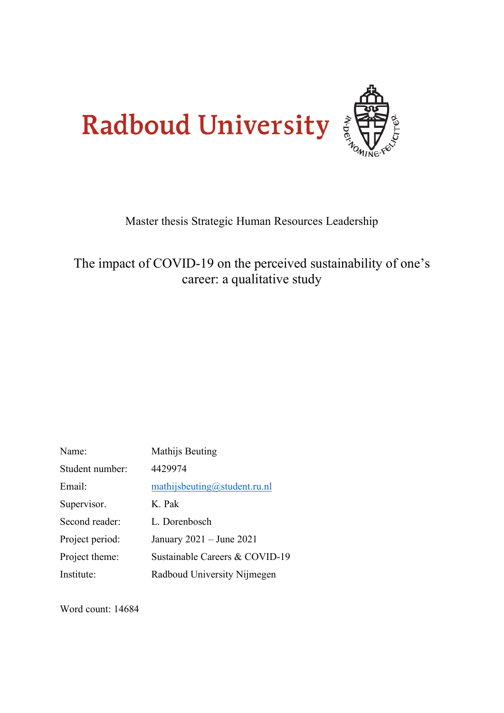

# Master thesis Strategic Human Resources Leadership

# The impact of COVID-19 on the perceived sustainability of one's career: a qualitative study

| Name:           | Mathijs Beuting                |
|-----------------|--------------------------------|
| Student number: | 4429974                        |
| Email:          | mathijsbeuting@student.ru.nl   |
| Supervisor.     | K. Pak                         |
| Second reader:  | L. Dorenbosch                  |
| Project period: | January $2021 -$ June $2021$   |
| Project theme:  | Sustainable Careers & COVID-19 |
| Institute:      | Radboud University Nijmegen    |

Word count: 14684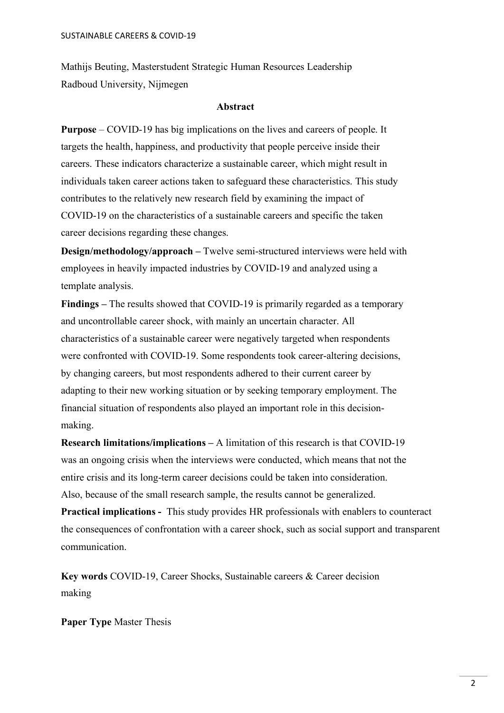Mathijs Beuting, Masterstudent Strategic Human Resources Leadership Radboud University, Nijmegen

#### **Abstract**

**Purpose** – COVID-19 has big implications on the lives and careers of people. It targets the health, happiness, and productivity that people perceive inside their careers. These indicators characterize a sustainable career, which might result in individuals taken career actions taken to safeguard these characteristics. This study contributes to the relatively new research field by examining the impact of COVID-19 on the characteristics of a sustainable careers and specific the taken career decisions regarding these changes.

**Design/methodology/approach –** Twelve semi-structured interviews were held with employees in heavily impacted industries by COVID-19 and analyzed using a template analysis.

**Findings –** The results showed that COVID-19 is primarily regarded as a temporary and uncontrollable career shock, with mainly an uncertain character. All characteristics of a sustainable career were negatively targeted when respondents were confronted with COVID-19. Some respondents took career-altering decisions, by changing careers, but most respondents adhered to their current career by adapting to their new working situation or by seeking temporary employment. The financial situation of respondents also played an important role in this decisionmaking.

**Research limitations/implications –** A limitation of this research is that COVID-19 was an ongoing crisis when the interviews were conducted, which means that not the entire crisis and its long-term career decisions could be taken into consideration. Also, because of the small research sample, the results cannot be generalized.

**Practical implications -** This study provides HR professionals with enablers to counteract the consequences of confrontation with a career shock, such as social support and transparent communication.

**Key words** COVID-19, Career Shocks, Sustainable careers & Career decision making

**Paper Type** Master Thesis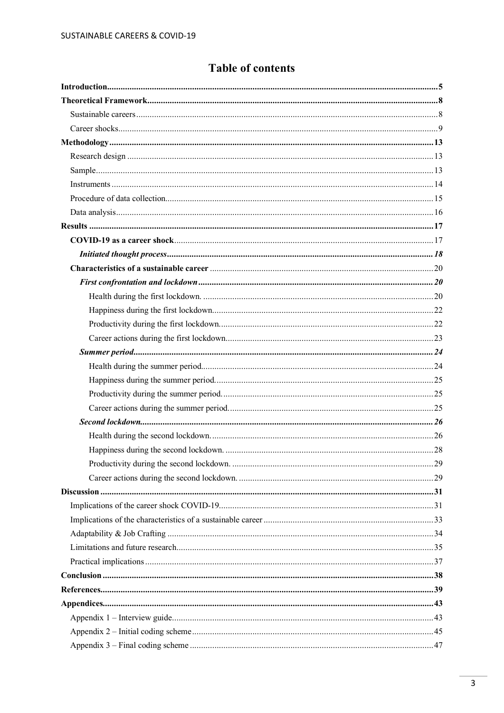## **Table of contents**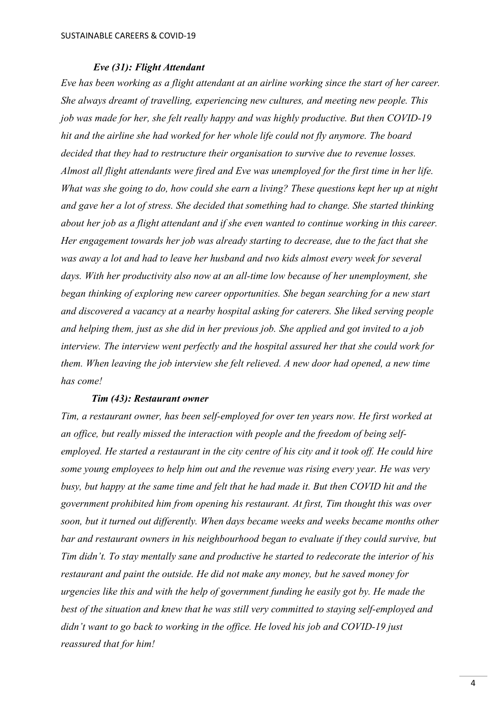### *Eve (31): Flight Attendant*

*Eve has been working as a flight attendant at an airline working since the start of her career. She always dreamt of travelling, experiencing new cultures, and meeting new people. This job was made for her, she felt really happy and was highly productive. But then COVID-19 hit and the airline she had worked for her whole life could not fly anymore. The board decided that they had to restructure their organisation to survive due to revenue losses. Almost all flight attendants were fired and Eve was unemployed for the first time in her life. What was she going to do, how could she earn a living? These questions kept her up at night and gave her a lot of stress. She decided that something had to change. She started thinking about her job as a flight attendant and if she even wanted to continue working in this career. Her engagement towards her job was already starting to decrease, due to the fact that she was away a lot and had to leave her husband and two kids almost every week for several days. With her productivity also now at an all-time low because of her unemployment, she began thinking of exploring new career opportunities. She began searching for a new start and discovered a vacancy at a nearby hospital asking for caterers. She liked serving people and helping them, just as she did in her previous job. She applied and got invited to a job interview. The interview went perfectly and the hospital assured her that she could work for them. When leaving the job interview she felt relieved. A new door had opened, a new time has come!*

#### *Tim (43): Restaurant owner*

*Tim, a restaurant owner, has been self-employed for over ten years now. He first worked at an office, but really missed the interaction with people and the freedom of being selfemployed. He started a restaurant in the city centre of his city and it took off. He could hire some young employees to help him out and the revenue was rising every year. He was very busy, but happy at the same time and felt that he had made it. But then COVID hit and the government prohibited him from opening his restaurant. At first, Tim thought this was over soon, but it turned out differently. When days became weeks and weeks became months other bar and restaurant owners in his neighbourhood began to evaluate if they could survive, but Tim didn't. To stay mentally sane and productive he started to redecorate the interior of his restaurant and paint the outside. He did not make any money, but he saved money for urgencies like this and with the help of government funding he easily got by. He made the best of the situation and knew that he was still very committed to staying self-employed and didn't want to go back to working in the office. He loved his job and COVID-19 just reassured that for him!*

4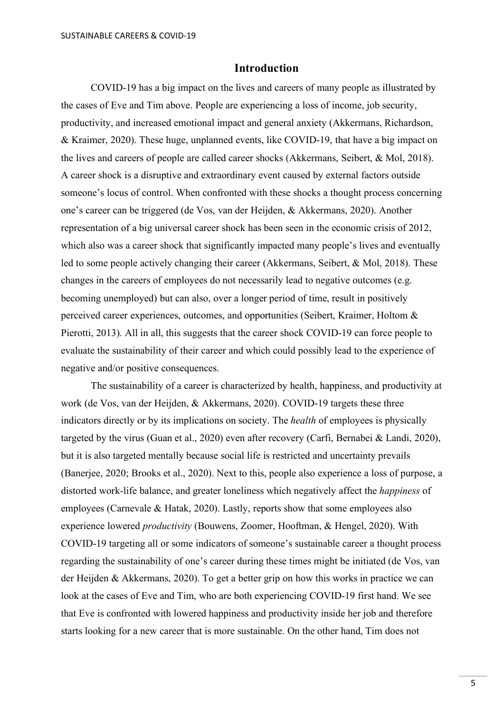## **Introduction**

<span id="page-4-0"></span>COVID-19 has a big impact on the lives and careers of many people as illustrated by the cases of Eve and Tim above. People are experiencing a loss of income, job security, productivity, and increased emotional impact and general anxiety (Akkermans, Richardson, & Kraimer, 2020). These huge, unplanned events, like COVID-19, that have a big impact on the lives and careers of people are called career shocks (Akkermans, Seibert, & Mol, 2018). A career shock is a disruptive and extraordinary event caused by external factors outside someone's locus of control. When confronted with these shocks a thought process concerning one's career can be triggered (de Vos, van der Heijden, & Akkermans, 2020). Another representation of a big universal career shock has been seen in the economic crisis of 2012, which also was a career shock that significantly impacted many people's lives and eventually led to some people actively changing their career (Akkermans, Seibert, & Mol, 2018). These changes in the careers of employees do not necessarily lead to negative outcomes (e.g. becoming unemployed) but can also, over a longer period of time, result in positively perceived career experiences, outcomes, and opportunities (Seibert, Kraimer, Holtom & Pierotti, 2013). All in all, this suggests that the career shock COVID-19 can force people to evaluate the sustainability of their career and which could possibly lead to the experience of negative and/or positive consequences.

The sustainability of a career is characterized by health, happiness, and productivity at work (de Vos, van der Heijden, & Akkermans, 2020). COVID-19 targets these three indicators directly or by its implications on society. The *health* of employees is physically targeted by the virus (Guan et al., 2020) even after recovery (Carfi, Bernabei & Landi, 2020), but it is also targeted mentally because social life is restricted and uncertainty prevails (Banerjee, 2020; Brooks et al., 2020). Next to this, people also experience a loss of purpose, a distorted work-life balance, and greater loneliness which negatively affect the *happiness* of employees (Carnevale & Hatak, 2020). Lastly, reports show that some employees also experience lowered *productivity* (Bouwens, Zoomer, Hooftman, & Hengel, 2020). With COVID-19 targeting all or some indicators of someone's sustainable career a thought process regarding the sustainability of one's career during these times might be initiated (de Vos, van der Heijden & Akkermans, 2020). To get a better grip on how this works in practice we can look at the cases of Eve and Tim, who are both experiencing COVID-19 first hand. We see that Eve is confronted with lowered happiness and productivity inside her job and therefore starts looking for a new career that is more sustainable. On the other hand, Tim does not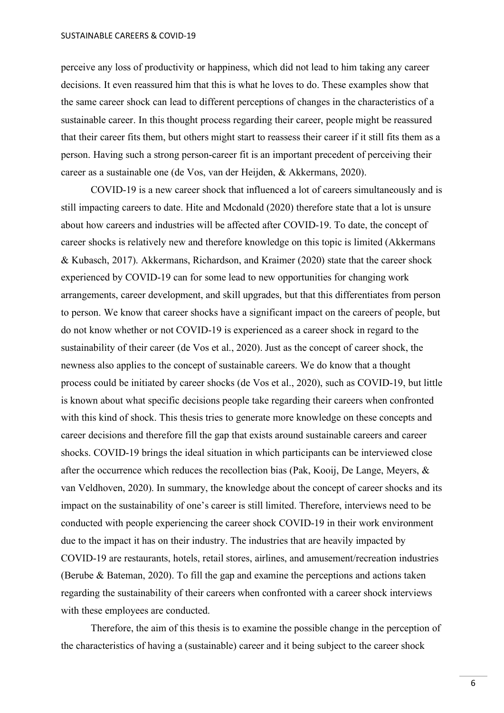SUSTAINABLE CAREERS & COVID-19

perceive any loss of productivity or happiness, which did not lead to him taking any career decisions. It even reassured him that this is what he loves to do. These examples show that the same career shock can lead to different perceptions of changes in the characteristics of a sustainable career. In this thought process regarding their career, people might be reassured that their career fits them, but others might start to reassess their career if it still fits them as a person. Having such a strong person-career fit is an important precedent of perceiving their career as a sustainable one (de Vos, van der Heijden, & Akkermans, 2020).

COVID-19 is a new career shock that influenced a lot of careers simultaneously and is still impacting careers to date. Hite and Mcdonald (2020) therefore state that a lot is unsure about how careers and industries will be affected after COVID-19. To date, the concept of career shocks is relatively new and therefore knowledge on this topic is limited (Akkermans & Kubasch, 2017). Akkermans, Richardson, and Kraimer (2020) state that the career shock experienced by COVID-19 can for some lead to new opportunities for changing work arrangements, career development, and skill upgrades, but that this differentiates from person to person. We know that career shocks have a significant impact on the careers of people, but do not know whether or not COVID-19 is experienced as a career shock in regard to the sustainability of their career (de Vos et al., 2020). Just as the concept of career shock, the newness also applies to the concept of sustainable careers. We do know that a thought process could be initiated by career shocks (de Vos et al., 2020), such as COVID-19, but little is known about what specific decisions people take regarding their careers when confronted with this kind of shock. This thesis tries to generate more knowledge on these concepts and career decisions and therefore fill the gap that exists around sustainable careers and career shocks. COVID-19 brings the ideal situation in which participants can be interviewed close after the occurrence which reduces the recollection bias (Pak, Kooij, De Lange, Meyers, & van Veldhoven, 2020). In summary, the knowledge about the concept of career shocks and its impact on the sustainability of one's career is still limited. Therefore, interviews need to be conducted with people experiencing the career shock COVID-19 in their work environment due to the impact it has on their industry. The industries that are heavily impacted by COVID-19 are restaurants, hotels, retail stores, airlines, and amusement/recreation industries (Berube & Bateman, 2020). To fill the gap and examine the perceptions and actions taken regarding the sustainability of their careers when confronted with a career shock interviews with these employees are conducted.

Therefore, the aim of this thesis is to examine the possible change in the perception of the characteristics of having a (sustainable) career and it being subject to the career shock

6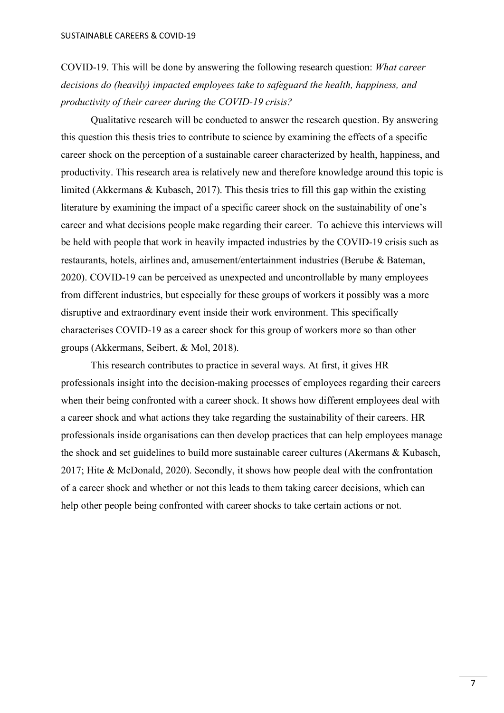COVID-19. This will be done by answering the following research question: *What career decisions do (heavily) impacted employees take to safeguard the health, happiness, and productivity of their career during the COVID-19 crisis?* 

Qualitative research will be conducted to answer the research question. By answering this question this thesis tries to contribute to science by examining the effects of a specific career shock on the perception of a sustainable career characterized by health, happiness, and productivity. This research area is relatively new and therefore knowledge around this topic is limited (Akkermans & Kubasch, 2017). This thesis tries to fill this gap within the existing literature by examining the impact of a specific career shock on the sustainability of one's career and what decisions people make regarding their career. To achieve this interviews will be held with people that work in heavily impacted industries by the COVID-19 crisis such as restaurants, hotels, airlines and, amusement/entertainment industries (Berube & Bateman, 2020). COVID-19 can be perceived as unexpected and uncontrollable by many employees from different industries, but especially for these groups of workers it possibly was a more disruptive and extraordinary event inside their work environment. This specifically characterises COVID-19 as a career shock for this group of workers more so than other groups (Akkermans, Seibert, & Mol, 2018).

This research contributes to practice in several ways. At first, it gives HR professionals insight into the decision-making processes of employees regarding their careers when their being confronted with a career shock. It shows how different employees deal with a career shock and what actions they take regarding the sustainability of their careers. HR professionals inside organisations can then develop practices that can help employees manage the shock and set guidelines to build more sustainable career cultures (Akermans & Kubasch, 2017; Hite & McDonald, 2020). Secondly, it shows how people deal with the confrontation of a career shock and whether or not this leads to them taking career decisions, which can help other people being confronted with career shocks to take certain actions or not.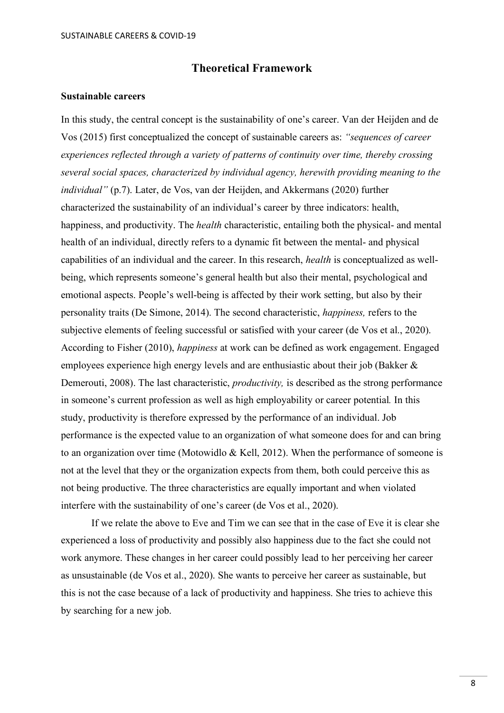## **Theoretical Framework**

#### <span id="page-7-1"></span><span id="page-7-0"></span>**Sustainable careers**

In this study, the central concept is the sustainability of one's career. Van der Heijden and de Vos (2015) first conceptualized the concept of sustainable careers as: *"sequences of career experiences reflected through a variety of patterns of continuity over time, thereby crossing several social spaces, characterized by individual agency, herewith providing meaning to the individual"* (p.7). Later, de Vos, van der Heijden, and Akkermans (2020) further characterized the sustainability of an individual's career by three indicators: health, happiness, and productivity. The *health* characteristic, entailing both the physical- and mental health of an individual, directly refers to a dynamic fit between the mental- and physical capabilities of an individual and the career. In this research, *health* is conceptualized as wellbeing, which represents someone's general health but also their mental, psychological and emotional aspects. People's well-being is affected by their work setting, but also by their personality traits (De Simone, 2014). The second characteristic, *happiness,* refers to the subjective elements of feeling successful or satisfied with your career (de Vos et al., 2020). According to Fisher (2010), *happiness* at work can be defined as work engagement. Engaged employees experience high energy levels and are enthusiastic about their job (Bakker & Demerouti, 2008). The last characteristic, *productivity,* is described as the strong performance in someone's current profession as well as high employability or career potential*.* In this study, productivity is therefore expressed by the performance of an individual. Job performance is the expected value to an organization of what someone does for and can bring to an organization over time (Motowidlo & Kell, 2012). When the performance of someone is not at the level that they or the organization expects from them, both could perceive this as not being productive. The three characteristics are equally important and when violated interfere with the sustainability of one's career (de Vos et al., 2020).

If we relate the above to Eve and Tim we can see that in the case of Eve it is clear she experienced a loss of productivity and possibly also happiness due to the fact she could not work anymore. These changes in her career could possibly lead to her perceiving her career as unsustainable (de Vos et al., 2020). She wants to perceive her career as sustainable, but this is not the case because of a lack of productivity and happiness. She tries to achieve this by searching for a new job.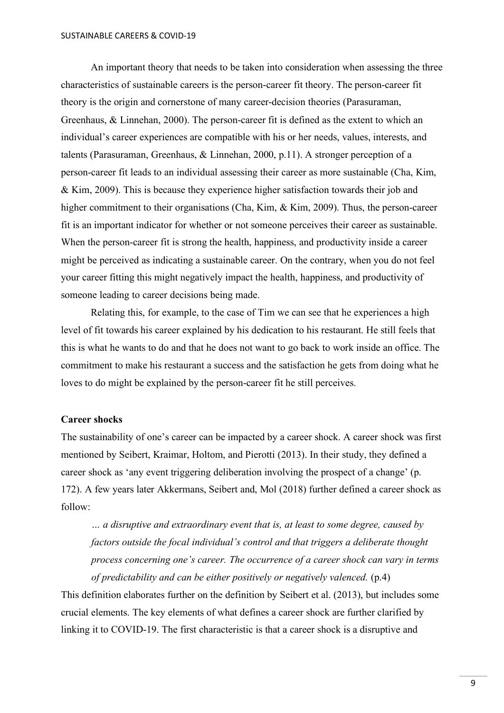An important theory that needs to be taken into consideration when assessing the three characteristics of sustainable careers is the person-career fit theory. The person-career fit theory is the origin and cornerstone of many career-decision theories (Parasuraman, Greenhaus, & Linnehan, 2000). The person-career fit is defined as the extent to which an individual's career experiences are compatible with his or her needs, values, interests, and talents (Parasuraman, Greenhaus, & Linnehan, 2000, p.11). A stronger perception of a person-career fit leads to an individual assessing their career as more sustainable (Cha, Kim, & Kim, 2009). This is because they experience higher satisfaction towards their job and higher commitment to their organisations (Cha, Kim, & Kim, 2009). Thus, the person-career fit is an important indicator for whether or not someone perceives their career as sustainable. When the person-career fit is strong the health, happiness, and productivity inside a career might be perceived as indicating a sustainable career. On the contrary, when you do not feel your career fitting this might negatively impact the health, happiness, and productivity of someone leading to career decisions being made.

Relating this, for example, to the case of Tim we can see that he experiences a high level of fit towards his career explained by his dedication to his restaurant. He still feels that this is what he wants to do and that he does not want to go back to work inside an office. The commitment to make his restaurant a success and the satisfaction he gets from doing what he loves to do might be explained by the person-career fit he still perceives.

#### <span id="page-8-0"></span>**Career shocks**

The sustainability of one's career can be impacted by a career shock. A career shock was first mentioned by Seibert, Kraimar, Holtom, and Pierotti (2013). In their study, they defined a career shock as 'any event triggering deliberation involving the prospect of a change' (p. 172). A few years later Akkermans, Seibert and, Mol (2018) further defined a career shock as follow:

*… a disruptive and extraordinary event that is, at least to some degree, caused by factors outside the focal individual's control and that triggers a deliberate thought process concerning one's career. The occurrence of a career shock can vary in terms of predictability and can be either positively or negatively valenced.* (p.4)

This definition elaborates further on the definition by Seibert et al. (2013), but includes some crucial elements. The key elements of what defines a career shock are further clarified by linking it to COVID-19. The first characteristic is that a career shock is a disruptive and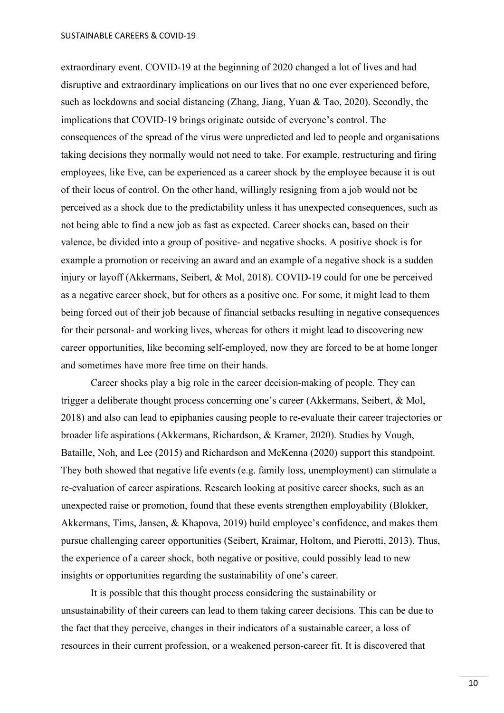extraordinary event. COVID-19 at the beginning of 2020 changed a lot of lives and had disruptive and extraordinary implications on our lives that no one ever experienced before, such as lockdowns and social distancing (Zhang, Jiang, Yuan & Tao, 2020). Secondly, the implications that COVID-19 brings originate outside of everyone's control. The consequences of the spread of the virus were unpredicted and led to people and organisations taking decisions they normally would not need to take. For example, restructuring and firing employees, like Eve, can be experienced as a career shock by the employee because it is out of their locus of control. On the other hand, willingly resigning from a job would not be perceived as a shock due to the predictability unless it has unexpected consequences, such as not being able to find a new job as fast as expected. Career shocks can, based on their valence, be divided into a group of positive- and negative shocks. A positive shock is for example a promotion or receiving an award and an example of a negative shock is a sudden injury or layoff (Akkermans, Seibert, & Mol, 2018). COVID-19 could for one be perceived as a negative career shock, but for others as a positive one. For some, it might lead to them being forced out of their job because of financial setbacks resulting in negative consequences for their personal- and working lives, whereas for others it might lead to discovering new career opportunities, like becoming self-employed, now they are forced to be at home longer and sometimes have more free time on their hands.

Career shocks play a big role in the career decision-making of people. They can trigger a deliberate thought process concerning one's career (Akkermans, Seibert, & Mol, 2018) and also can lead to epiphanies causing people to re-evaluate their career trajectories or broader life aspirations (Akkermans, Richardson, & Kramer, 2020). Studies by Vough, Bataille, Noh, and Lee (2015) and Richardson and McKenna (2020) support this standpoint. They both showed that negative life events (e.g. family loss, unemployment) can stimulate a re-evaluation of career aspirations. Research looking at positive career shocks, such as an unexpected raise or promotion, found that these events strengthen employability (Blokker, Akkermans, Tims, Jansen, & Khapova, 2019) build employee's confidence, and makes them pursue challenging career opportunities (Seibert, Kraimar, Holtom, and Pierotti, 2013). Thus, the experience of a career shock, both negative or positive, could possibly lead to new insights or opportunities regarding the sustainability of one's career.

It is possible that this thought process considering the sustainability or unsustainability of their careers can lead to them taking career decisions. This can be due to the fact that they perceive, changes in their indicators of a sustainable career, a loss of resources in their current profession, or a weakened person-career fit. It is discovered that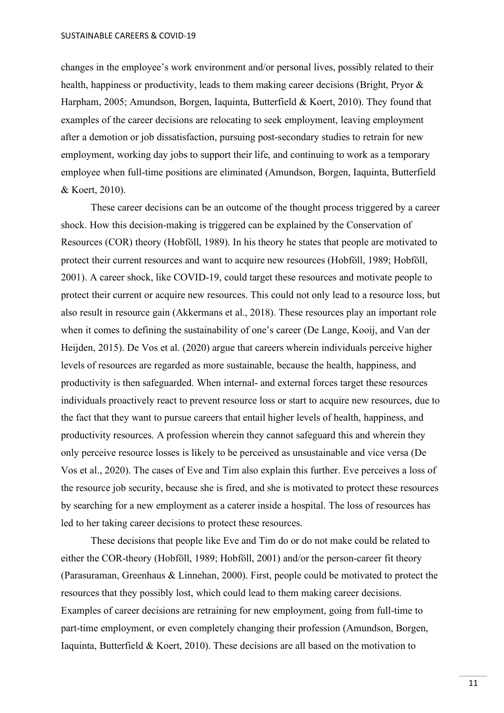changes in the employee's work environment and/or personal lives, possibly related to their health, happiness or productivity, leads to them making career decisions (Bright, Pryor & Harpham, 2005; Amundson, Borgen, Iaquinta, Butterfield & Koert, 2010). They found that examples of the career decisions are relocating to seek employment, leaving employment after a demotion or job dissatisfaction, pursuing post-secondary studies to retrain for new employment, working day jobs to support their life, and continuing to work as a temporary employee when full-time positions are eliminated (Amundson, Borgen, Iaquinta, Butterfield & Koert, 2010).

These career decisions can be an outcome of the thought process triggered by a career shock. How this decision-making is triggered can be explained by the Conservation of Resources (COR) theory (Hobföll, 1989). In his theory he states that people are motivated to protect their current resources and want to acquire new resources (Hobföll, 1989; Hobföll, 2001). A career shock, like COVID-19, could target these resources and motivate people to protect their current or acquire new resources. This could not only lead to a resource loss, but also result in resource gain (Akkermans et al., 2018). These resources play an important role when it comes to defining the sustainability of one's career (De Lange, Kooij, and Van der Heijden, 2015). De Vos et al. (2020) argue that careers wherein individuals perceive higher levels of resources are regarded as more sustainable, because the health, happiness, and productivity is then safeguarded. When internal- and external forces target these resources individuals proactively react to prevent resource loss or start to acquire new resources, due to the fact that they want to pursue careers that entail higher levels of health, happiness, and productivity resources. A profession wherein they cannot safeguard this and wherein they only perceive resource losses is likely to be perceived as unsustainable and vice versa (De Vos et al., 2020). The cases of Eve and Tim also explain this further. Eve perceives a loss of the resource job security, because she is fired, and she is motivated to protect these resources by searching for a new employment as a caterer inside a hospital. The loss of resources has led to her taking career decisions to protect these resources.

These decisions that people like Eve and Tim do or do not make could be related to either the COR-theory (Hobföll, 1989; Hobföll, 2001) and/or the person-career fit theory (Parasuraman, Greenhaus & Linnehan, 2000). First, people could be motivated to protect the resources that they possibly lost, which could lead to them making career decisions. Examples of career decisions are retraining for new employment, going from full-time to part-time employment, or even completely changing their profession (Amundson, Borgen, Iaquinta, Butterfield & Koert, 2010). These decisions are all based on the motivation to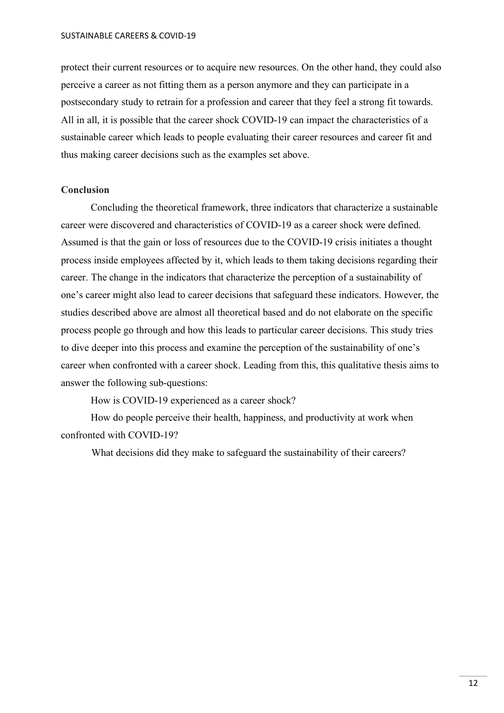protect their current resources or to acquire new resources. On the other hand, they could also perceive a career as not fitting them as a person anymore and they can participate in a postsecondary study to retrain for a profession and career that they feel a strong fit towards. All in all, it is possible that the career shock COVID-19 can impact the characteristics of a sustainable career which leads to people evaluating their career resources and career fit and thus making career decisions such as the examples set above.

#### **Conclusion**

Concluding the theoretical framework, three indicators that characterize a sustainable career were discovered and characteristics of COVID-19 as a career shock were defined. Assumed is that the gain or loss of resources due to the COVID-19 crisis initiates a thought process inside employees affected by it, which leads to them taking decisions regarding their career. The change in the indicators that characterize the perception of a sustainability of one's career might also lead to career decisions that safeguard these indicators. However, the studies described above are almost all theoretical based and do not elaborate on the specific process people go through and how this leads to particular career decisions. This study tries to dive deeper into this process and examine the perception of the sustainability of one's career when confronted with a career shock. Leading from this, this qualitative thesis aims to answer the following sub-questions:

How is COVID-19 experienced as a career shock?

How do people perceive their health, happiness, and productivity at work when confronted with COVID-19?

What decisions did they make to safeguard the sustainability of their careers?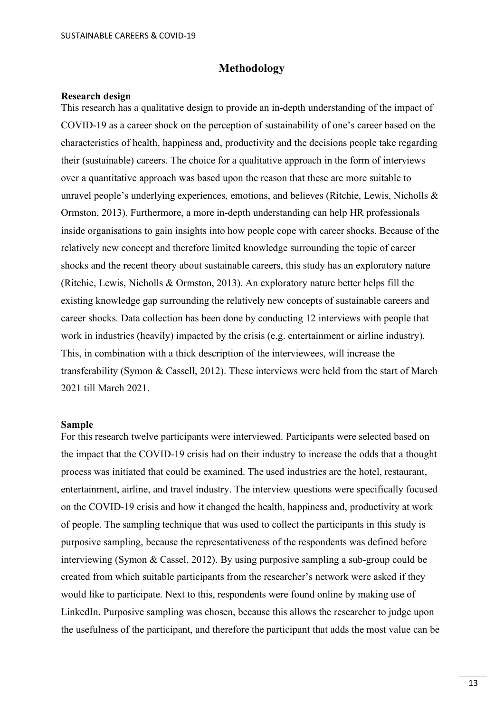#### **Methodology**

#### <span id="page-12-1"></span><span id="page-12-0"></span>**Research design**

This research has a qualitative design to provide an in-depth understanding of the impact of COVID-19 as a career shock on the perception of sustainability of one's career based on the characteristics of health, happiness and, productivity and the decisions people take regarding their (sustainable) careers. The choice for a qualitative approach in the form of interviews over a quantitative approach was based upon the reason that these are more suitable to unravel people's underlying experiences, emotions, and believes (Ritchie, Lewis, Nicholls & Ormston, 2013). Furthermore, a more in-depth understanding can help HR professionals inside organisations to gain insights into how people cope with career shocks. Because of the relatively new concept and therefore limited knowledge surrounding the topic of career shocks and the recent theory about sustainable careers, this study has an exploratory nature (Ritchie, Lewis, Nicholls & Ormston, 2013). An exploratory nature better helps fill the existing knowledge gap surrounding the relatively new concepts of sustainable careers and career shocks. Data collection has been done by conducting 12 interviews with people that work in industries (heavily) impacted by the crisis (e.g. entertainment or airline industry). This, in combination with a thick description of the interviewees, will increase the transferability (Symon & Cassell, 2012). These interviews were held from the start of March 2021 till March 2021.

#### <span id="page-12-2"></span>**Sample**

For this research twelve participants were interviewed. Participants were selected based on the impact that the COVID-19 crisis had on their industry to increase the odds that a thought process was initiated that could be examined. The used industries are the hotel, restaurant, entertainment, airline, and travel industry. The interview questions were specifically focused on the COVID-19 crisis and how it changed the health, happiness and, productivity at work of people. The sampling technique that was used to collect the participants in this study is purposive sampling, because the representativeness of the respondents was defined before interviewing (Symon & Cassel, 2012). By using purposive sampling a sub-group could be created from which suitable participants from the researcher's network were asked if they would like to participate. Next to this, respondents were found online by making use of LinkedIn. Purposive sampling was chosen, because this allows the researcher to judge upon the usefulness of the participant, and therefore the participant that adds the most value can be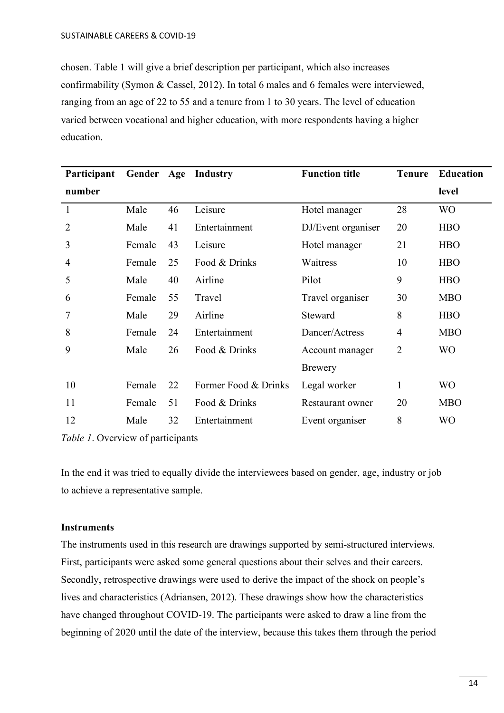chosen. Table 1 will give a brief description per participant, which also increases confirmability (Symon & Cassel, 2012). In total 6 males and 6 females were interviewed, ranging from an age of 22 to 55 and a tenure from 1 to 30 years. The level of education varied between vocational and higher education, with more respondents having a higher education.

| Participant    | Gender Age |    | Industry             | <b>Function title</b> | <b>Tenure</b>  | <b>Education</b> |
|----------------|------------|----|----------------------|-----------------------|----------------|------------------|
| number         |            |    |                      |                       |                | level            |
| $\mathbf{1}$   | Male       | 46 | Leisure              | Hotel manager         | 28             | <b>WO</b>        |
| $\overline{2}$ | Male       | 41 | Entertainment        | DJ/Event organiser    | 20             | <b>HBO</b>       |
| 3              | Female     | 43 | Leisure              | Hotel manager         | 21             | <b>HBO</b>       |
| 4              | Female     | 25 | Food & Drinks        | Waitress              | 10             | <b>HBO</b>       |
| 5              | Male       | 40 | Airline              | Pilot                 | 9              | <b>HBO</b>       |
| 6              | Female     | 55 | Travel               | Travel organiser      | 30             | <b>MBO</b>       |
| 7              | Male       | 29 | Airline              | Steward               | 8              | <b>HBO</b>       |
| 8              | Female     | 24 | Entertainment        | Dancer/Actress        | $\overline{4}$ | <b>MBO</b>       |
| 9              | Male       | 26 | Food & Drinks        | Account manager       | $\overline{2}$ | <b>WO</b>        |
|                |            |    |                      | Brewery               |                |                  |
| 10             | Female     | 22 | Former Food & Drinks | Legal worker          | 1              | <b>WO</b>        |
| 11             | Female     | 51 | Food & Drinks        | Restaurant owner      | 20             | <b>MBO</b>       |
| 12             | Male       | 32 | Entertainment        | Event organiser       | 8              | <b>WO</b>        |

*Table 1*. Overview of participants

In the end it was tried to equally divide the interviewees based on gender, age, industry or job to achieve a representative sample.

## <span id="page-13-0"></span>**Instruments**

The instruments used in this research are drawings supported by semi-structured interviews. First, participants were asked some general questions about their selves and their careers. Secondly, retrospective drawings were used to derive the impact of the shock on people's lives and characteristics (Adriansen, 2012). These drawings show how the characteristics have changed throughout COVID-19. The participants were asked to draw a line from the beginning of 2020 until the date of the interview, because this takes them through the period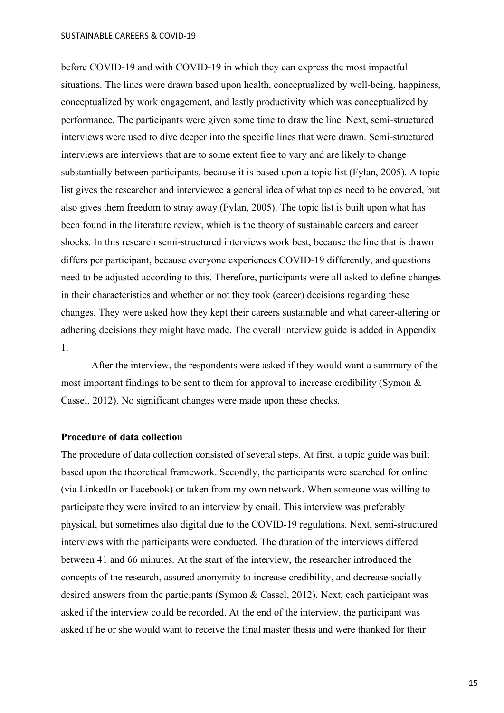before COVID-19 and with COVID-19 in which they can express the most impactful situations. The lines were drawn based upon health, conceptualized by well-being, happiness, conceptualized by work engagement, and lastly productivity which was conceptualized by performance. The participants were given some time to draw the line. Next, semi-structured interviews were used to dive deeper into the specific lines that were drawn. Semi-structured interviews are interviews that are to some extent free to vary and are likely to change substantially between participants, because it is based upon a topic list (Fylan, 2005). A topic list gives the researcher and interviewee a general idea of what topics need to be covered, but also gives them freedom to stray away (Fylan, 2005). The topic list is built upon what has been found in the literature review, which is the theory of sustainable careers and career shocks. In this research semi-structured interviews work best, because the line that is drawn differs per participant, because everyone experiences COVID-19 differently, and questions need to be adjusted according to this. Therefore, participants were all asked to define changes in their characteristics and whether or not they took (career) decisions regarding these changes. They were asked how they kept their careers sustainable and what career-altering or adhering decisions they might have made. The overall interview guide is added in Appendix 1.

After the interview, the respondents were asked if they would want a summary of the most important findings to be sent to them for approval to increase credibility (Symon & Cassel, 2012). No significant changes were made upon these checks.

#### <span id="page-14-0"></span>**Procedure of data collection**

The procedure of data collection consisted of several steps. At first, a topic guide was built based upon the theoretical framework. Secondly, the participants were searched for online (via LinkedIn or Facebook) or taken from my own network. When someone was willing to participate they were invited to an interview by email. This interview was preferably physical, but sometimes also digital due to the COVID-19 regulations. Next, semi-structured interviews with the participants were conducted. The duration of the interviews differed between 41 and 66 minutes. At the start of the interview, the researcher introduced the concepts of the research, assured anonymity to increase credibility, and decrease socially desired answers from the participants (Symon & Cassel, 2012). Next, each participant was asked if the interview could be recorded. At the end of the interview, the participant was asked if he or she would want to receive the final master thesis and were thanked for their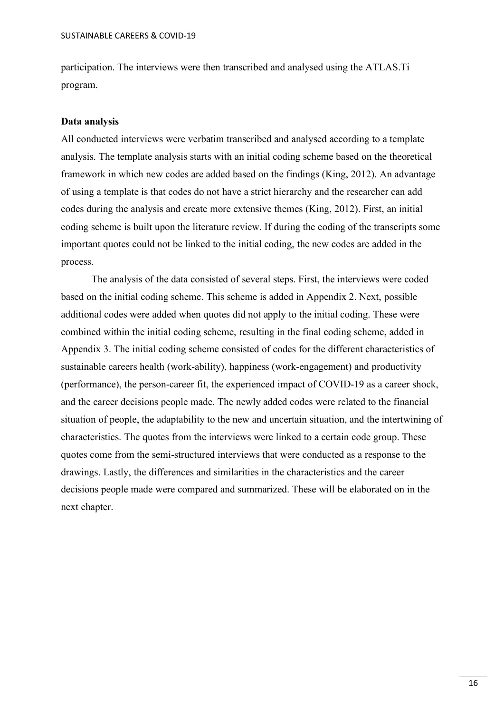participation. The interviews were then transcribed and analysed using the ATLAS.Ti program.

#### <span id="page-15-0"></span>**Data analysis**

All conducted interviews were verbatim transcribed and analysed according to a template analysis. The template analysis starts with an initial coding scheme based on the theoretical framework in which new codes are added based on the findings (King, 2012). An advantage of using a template is that codes do not have a strict hierarchy and the researcher can add codes during the analysis and create more extensive themes (King, 2012). First, an initial coding scheme is built upon the literature review. If during the coding of the transcripts some important quotes could not be linked to the initial coding, the new codes are added in the process.

The analysis of the data consisted of several steps. First, the interviews were coded based on the initial coding scheme. This scheme is added in Appendix 2. Next, possible additional codes were added when quotes did not apply to the initial coding. These were combined within the initial coding scheme, resulting in the final coding scheme, added in Appendix 3. The initial coding scheme consisted of codes for the different characteristics of sustainable careers health (work-ability), happiness (work-engagement) and productivity (performance), the person-career fit, the experienced impact of COVID-19 as a career shock, and the career decisions people made. The newly added codes were related to the financial situation of people, the adaptability to the new and uncertain situation, and the intertwining of characteristics. The quotes from the interviews were linked to a certain code group. These quotes come from the semi-structured interviews that were conducted as a response to the drawings. Lastly, the differences and similarities in the characteristics and the career decisions people made were compared and summarized. These will be elaborated on in the next chapter.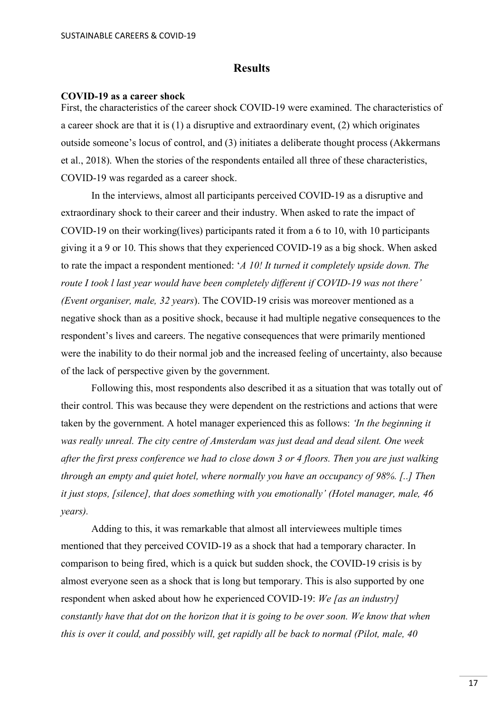## **Results**

#### <span id="page-16-1"></span><span id="page-16-0"></span>**COVID-19 as a career shock**

First, the characteristics of the career shock COVID-19 were examined. The characteristics of a career shock are that it is (1) a disruptive and extraordinary event, (2) which originates outside someone's locus of control, and (3) initiates a deliberate thought process (Akkermans et al., 2018). When the stories of the respondents entailed all three of these characteristics, COVID-19 was regarded as a career shock.

In the interviews, almost all participants perceived COVID-19 as a disruptive and extraordinary shock to their career and their industry. When asked to rate the impact of COVID-19 on their working(lives) participants rated it from a 6 to 10, with 10 participants giving it a 9 or 10. This shows that they experienced COVID-19 as a big shock. When asked to rate the impact a respondent mentioned: '*A 10! It turned it completely upside down. The route I took l last year would have been completely different if COVID-19 was not there' (Event organiser, male, 32 years*). The COVID-19 crisis was moreover mentioned as a negative shock than as a positive shock, because it had multiple negative consequences to the respondent's lives and careers. The negative consequences that were primarily mentioned were the inability to do their normal job and the increased feeling of uncertainty, also because of the lack of perspective given by the government.

Following this, most respondents also described it as a situation that was totally out of their control. This was because they were dependent on the restrictions and actions that were taken by the government. A hotel manager experienced this as follows: *'In the beginning it was really unreal. The city centre of Amsterdam was just dead and dead silent. One week after the first press conference we had to close down 3 or 4 floors. Then you are just walking through an empty and quiet hotel, where normally you have an occupancy of 98%. [..] Then it just stops, [silence], that does something with you emotionally' (Hotel manager, male, 46 years).*

Adding to this, it was remarkable that almost all interviewees multiple times mentioned that they perceived COVID-19 as a shock that had a temporary character. In comparison to being fired, which is a quick but sudden shock, the COVID-19 crisis is by almost everyone seen as a shock that is long but temporary. This is also supported by one respondent when asked about how he experienced COVID-19: *We [as an industry] constantly have that dot on the horizon that it is going to be over soon. We know that when this is over it could, and possibly will, get rapidly all be back to normal (Pilot, male, 40*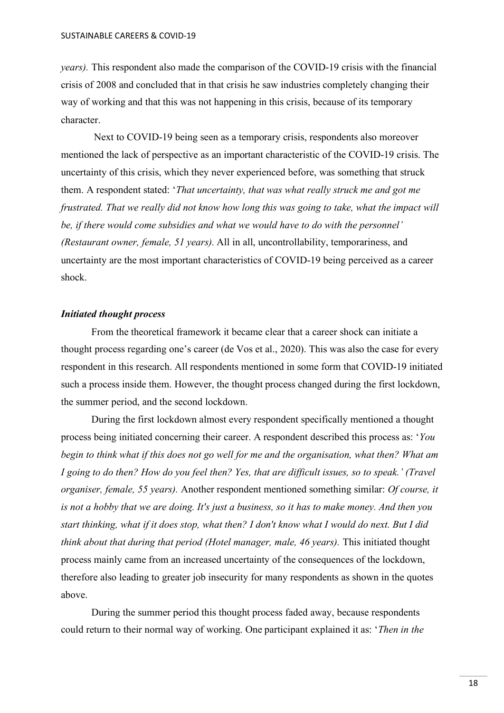*years).* This respondent also made the comparison of the COVID-19 crisis with the financial crisis of 2008 and concluded that in that crisis he saw industries completely changing their way of working and that this was not happening in this crisis, because of its temporary character.

Next to COVID-19 being seen as a temporary crisis, respondents also moreover mentioned the lack of perspective as an important characteristic of the COVID-19 crisis. The uncertainty of this crisis, which they never experienced before, was something that struck them. A respondent stated: '*That uncertainty, that was what really struck me and got me frustrated. That we really did not know how long this was going to take, what the impact will be, if there would come subsidies and what we would have to do with the personnel' (Restaurant owner, female, 51 years).* All in all, uncontrollability, temporariness, and uncertainty are the most important characteristics of COVID-19 being perceived as a career shock.

#### <span id="page-17-0"></span>*Initiated thought process*

From the theoretical framework it became clear that a career shock can initiate a thought process regarding one's career (de Vos et al., 2020). This was also the case for every respondent in this research. All respondents mentioned in some form that COVID-19 initiated such a process inside them. However, the thought process changed during the first lockdown, the summer period, and the second lockdown.

During the first lockdown almost every respondent specifically mentioned a thought process being initiated concerning their career. A respondent described this process as: '*You begin to think what if this does not go well for me and the organisation, what then? What am I going to do then? How do you feel then? Yes, that are difficult issues, so to speak.' (Travel organiser, female, 55 years).* Another respondent mentioned something similar: *Of course, it is not a hobby that we are doing. It's just a business, so it has to make money. And then you start thinking, what if it does stop, what then? I don't know what I would do next. But I did think about that during that period (Hotel manager, male, 46 years).* This initiated thought process mainly came from an increased uncertainty of the consequences of the lockdown, therefore also leading to greater job insecurity for many respondents as shown in the quotes above.

During the summer period this thought process faded away, because respondents could return to their normal way of working. One participant explained it as: '*Then in the*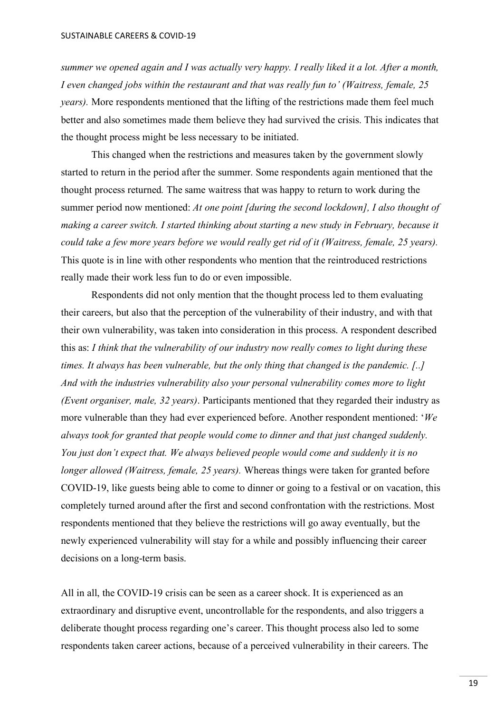*summer we opened again and I was actually very happy. I really liked it a lot. After a month, I even changed jobs within the restaurant and that was really fun to' (Waitress, female, 25 years).* More respondents mentioned that the lifting of the restrictions made them feel much better and also sometimes made them believe they had survived the crisis. This indicates that the thought process might be less necessary to be initiated.

This changed when the restrictions and measures taken by the government slowly started to return in the period after the summer. Some respondents again mentioned that the thought process returned*.* The same waitress that was happy to return to work during the summer period now mentioned: *At one point [during the second lockdown], I also thought of making a career switch. I started thinking about starting a new study in February, because it could take a few more years before we would really get rid of it (Waitress, female, 25 years).*  This quote is in line with other respondents who mention that the reintroduced restrictions really made their work less fun to do or even impossible.

Respondents did not only mention that the thought process led to them evaluating their careers, but also that the perception of the vulnerability of their industry, and with that their own vulnerability, was taken into consideration in this process. A respondent described this as: *I think that the vulnerability of our industry now really comes to light during these times. It always has been vulnerable, but the only thing that changed is the pandemic. [..] And with the industries vulnerability also your personal vulnerability comes more to light (Event organiser, male, 32 years)*. Participants mentioned that they regarded their industry as more vulnerable than they had ever experienced before. Another respondent mentioned: '*We always took for granted that people would come to dinner and that just changed suddenly. You just don't expect that. We always believed people would come and suddenly it is no longer allowed (Waitress, female, 25 years).* Whereas things were taken for granted before COVID-19, like guests being able to come to dinner or going to a festival or on vacation, this completely turned around after the first and second confrontation with the restrictions. Most respondents mentioned that they believe the restrictions will go away eventually, but the newly experienced vulnerability will stay for a while and possibly influencing their career decisions on a long-term basis.

All in all, the COVID-19 crisis can be seen as a career shock. It is experienced as an extraordinary and disruptive event, uncontrollable for the respondents, and also triggers a deliberate thought process regarding one's career. This thought process also led to some respondents taken career actions, because of a perceived vulnerability in their careers. The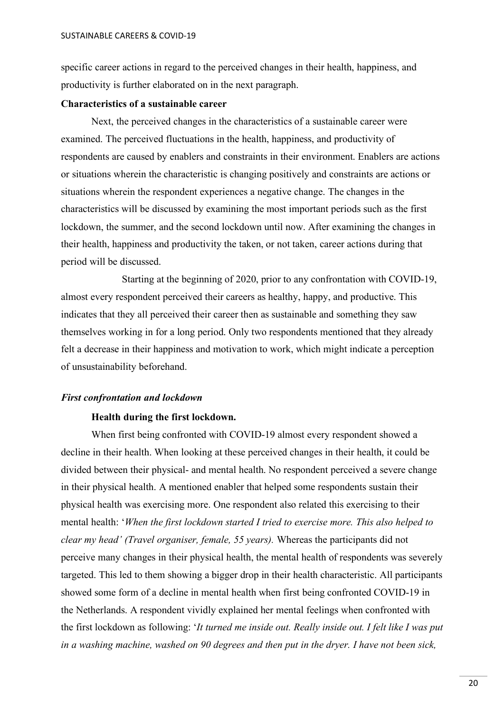specific career actions in regard to the perceived changes in their health, happiness, and productivity is further elaborated on in the next paragraph.

### <span id="page-19-0"></span>**Characteristics of a sustainable career**

Next, the perceived changes in the characteristics of a sustainable career were examined. The perceived fluctuations in the health, happiness, and productivity of respondents are caused by enablers and constraints in their environment. Enablers are actions or situations wherein the characteristic is changing positively and constraints are actions or situations wherein the respondent experiences a negative change. The changes in the characteristics will be discussed by examining the most important periods such as the first lockdown, the summer, and the second lockdown until now. After examining the changes in their health, happiness and productivity the taken, or not taken, career actions during that period will be discussed.

Starting at the beginning of 2020, prior to any confrontation with COVID-19, almost every respondent perceived their careers as healthy, happy, and productive. This indicates that they all perceived their career then as sustainable and something they saw themselves working in for a long period. Only two respondents mentioned that they already felt a decrease in their happiness and motivation to work, which might indicate a perception of unsustainability beforehand.

#### <span id="page-19-2"></span><span id="page-19-1"></span>*First confrontation and lockdown*

#### **Health during the first lockdown.**

When first being confronted with COVID-19 almost every respondent showed a decline in their health. When looking at these perceived changes in their health, it could be divided between their physical- and mental health. No respondent perceived a severe change in their physical health. A mentioned enabler that helped some respondents sustain their physical health was exercising more. One respondent also related this exercising to their mental health: '*When the first lockdown started I tried to exercise more. This also helped to clear my head' (Travel organiser, female, 55 years).* Whereas the participants did not perceive many changes in their physical health, the mental health of respondents was severely targeted. This led to them showing a bigger drop in their health characteristic. All participants showed some form of a decline in mental health when first being confronted COVID-19 in the Netherlands. A respondent vividly explained her mental feelings when confronted with the first lockdown as following: '*It turned me inside out. Really inside out. I felt like I was put in a washing machine, washed on 90 degrees and then put in the dryer. I have not been sick,*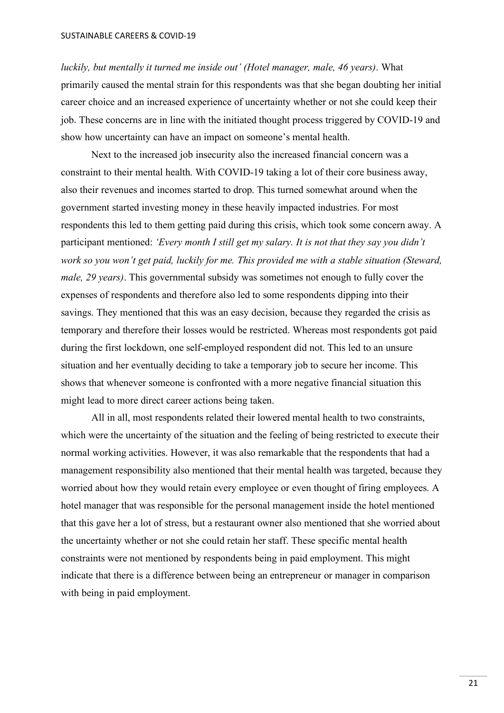*luckily, but mentally it turned me inside out' (Hotel manager, male, 46 years)*. What primarily caused the mental strain for this respondents was that she began doubting her initial career choice and an increased experience of uncertainty whether or not she could keep their job**.** These concerns are in line with the initiated thought process triggered by COVID-19 and show how uncertainty can have an impact on someone's mental health.

Next to the increased job insecurity also the increased financial concern was a constraint to their mental health. With COVID-19 taking a lot of their core business away, also their revenues and incomes started to drop. This turned somewhat around when the government started investing money in these heavily impacted industries. For most respondents this led to them getting paid during this crisis, which took some concern away. A participant mentioned: *'Every month I still get my salary. It is not that they say you didn't work so you won't get paid, luckily for me. This provided me with a stable situation (Steward, male, 29 years)*. This governmental subsidy was sometimes not enough to fully cover the expenses of respondents and therefore also led to some respondents dipping into their savings. They mentioned that this was an easy decision, because they regarded the crisis as temporary and therefore their losses would be restricted. Whereas most respondents got paid during the first lockdown, one self-employed respondent did not. This led to an unsure situation and her eventually deciding to take a temporary job to secure her income. This shows that whenever someone is confronted with a more negative financial situation this might lead to more direct career actions being taken.

All in all, most respondents related their lowered mental health to two constraints, which were the uncertainty of the situation and the feeling of being restricted to execute their normal working activities. However, it was also remarkable that the respondents that had a management responsibility also mentioned that their mental health was targeted, because they worried about how they would retain every employee or even thought of firing employees. A hotel manager that was responsible for the personal management inside the hotel mentioned that this gave her a lot of stress, but a restaurant owner also mentioned that she worried about the uncertainty whether or not she could retain her staff. These specific mental health constraints were not mentioned by respondents being in paid employment. This might indicate that there is a difference between being an entrepreneur or manager in comparison with being in paid employment.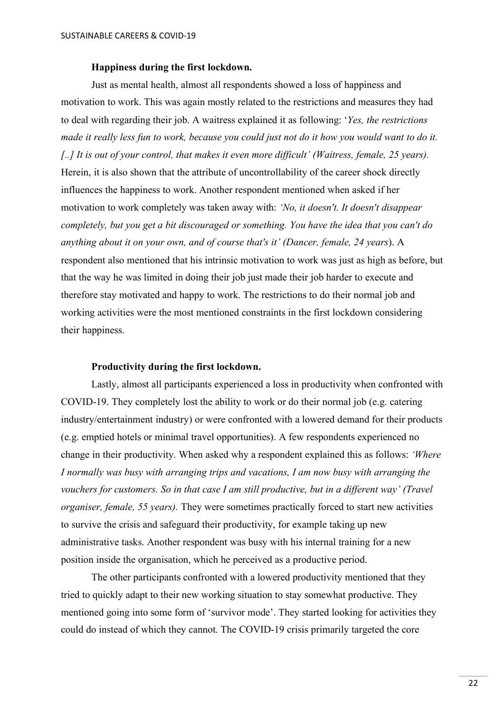#### <span id="page-21-0"></span>**Happiness during the first lockdown.**

Just as mental health, almost all respondents showed a loss of happiness and motivation to work. This was again mostly related to the restrictions and measures they had to deal with regarding their job. A waitress explained it as following: '*Yes, the restrictions made it really less fun to work, because you could just not do it how you would want to do it. [..] It is out of your control, that makes it even more difficult' (Waitress, female, 25 years).* Herein, it is also shown that the attribute of uncontrollability of the career shock directly influences the happiness to work. Another respondent mentioned when asked if her motivation to work completely was taken away with: *'No, it doesn't. It doesn't disappear completely, but you get a bit discouraged or something. You have the idea that you can't do anything about it on your own, and of course that's it' (Dancer, female, 24 years*). A respondent also mentioned that his intrinsic motivation to work was just as high as before, but that the way he was limited in doing their job just made their job harder to execute and therefore stay motivated and happy to work. The restrictions to do their normal job and working activities were the most mentioned constraints in the first lockdown considering their happiness.

### <span id="page-21-1"></span>**Productivity during the first lockdown.**

Lastly, almost all participants experienced a loss in productivity when confronted with COVID-19. They completely lost the ability to work or do their normal job (e.g. catering industry/entertainment industry) or were confronted with a lowered demand for their products (e.g. emptied hotels or minimal travel opportunities). A few respondents experienced no change in their productivity. When asked why a respondent explained this as follows: *'Where I normally was busy with arranging trips and vacations, I am now busy with arranging the vouchers for customers. So in that case I am still productive, but in a different way' (Travel organiser, female, 55 years).* They were sometimes practically forced to start new activities to survive the crisis and safeguard their productivity, for example taking up new administrative tasks. Another respondent was busy with his internal training for a new position inside the organisation, which he perceived as a productive period.

The other participants confronted with a lowered productivity mentioned that they tried to quickly adapt to their new working situation to stay somewhat productive. They mentioned going into some form of 'survivor mode'. They started looking for activities they could do instead of which they cannot. The COVID-19 crisis primarily targeted the core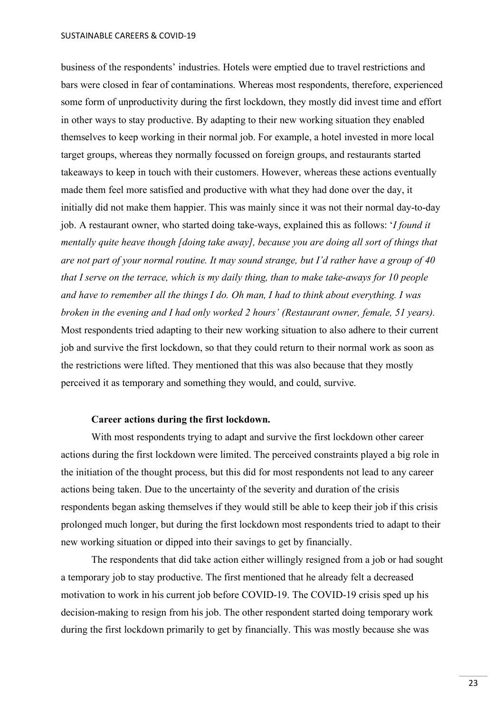#### SUSTAINABLE CAREERS & COVID-19

business of the respondents' industries. Hotels were emptied due to travel restrictions and bars were closed in fear of contaminations. Whereas most respondents, therefore, experienced some form of unproductivity during the first lockdown, they mostly did invest time and effort in other ways to stay productive. By adapting to their new working situation they enabled themselves to keep working in their normal job. For example, a hotel invested in more local target groups, whereas they normally focussed on foreign groups, and restaurants started takeaways to keep in touch with their customers. However, whereas these actions eventually made them feel more satisfied and productive with what they had done over the day, it initially did not make them happier. This was mainly since it was not their normal day-to-day job. A restaurant owner, who started doing take-ways, explained this as follows: '*I found it mentally quite heave though [doing take away], because you are doing all sort of things that are not part of your normal routine. It may sound strange, but I'd rather have a group of 40 that I serve on the terrace, which is my daily thing, than to make take-aways for 10 people and have to remember all the things I do. Oh man, I had to think about everything. I was broken in the evening and I had only worked 2 hours' (Restaurant owner, female, 51 years).* Most respondents tried adapting to their new working situation to also adhere to their current job and survive the first lockdown, so that they could return to their normal work as soon as the restrictions were lifted. They mentioned that this was also because that they mostly perceived it as temporary and something they would, and could, survive.

#### **Career actions during the first lockdown.**

<span id="page-22-0"></span>With most respondents trying to adapt and survive the first lockdown other career actions during the first lockdown were limited. The perceived constraints played a big role in the initiation of the thought process, but this did for most respondents not lead to any career actions being taken. Due to the uncertainty of the severity and duration of the crisis respondents began asking themselves if they would still be able to keep their job if this crisis prolonged much longer, but during the first lockdown most respondents tried to adapt to their new working situation or dipped into their savings to get by financially.

The respondents that did take action either willingly resigned from a job or had sought a temporary job to stay productive. The first mentioned that he already felt a decreased motivation to work in his current job before COVID-19. The COVID-19 crisis sped up his decision-making to resign from his job. The other respondent started doing temporary work during the first lockdown primarily to get by financially. This was mostly because she was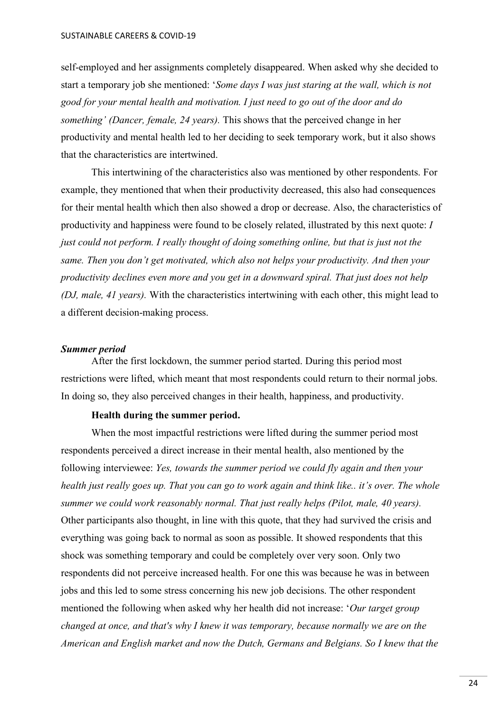self-employed and her assignments completely disappeared. When asked why she decided to start a temporary job she mentioned: '*Some days I was just staring at the wall, which is not good for your mental health and motivation. I just need to go out of the door and do something' (Dancer, female, 24 years).* This shows that the perceived change in her productivity and mental health led to her deciding to seek temporary work, but it also shows that the characteristics are intertwined.

This intertwining of the characteristics also was mentioned by other respondents. For example, they mentioned that when their productivity decreased, this also had consequences for their mental health which then also showed a drop or decrease. Also, the characteristics of productivity and happiness were found to be closely related, illustrated by this next quote: *I just could not perform. I really thought of doing something online, but that is just not the same. Then you don't get motivated, which also not helps your productivity. And then your productivity declines even more and you get in a downward spiral. That just does not help (DJ, male, 41 years).* With the characteristics intertwining with each other, this might lead to a different decision-making process.

#### <span id="page-23-0"></span>*Summer period*

After the first lockdown, the summer period started. During this period most restrictions were lifted, which meant that most respondents could return to their normal jobs. In doing so, they also perceived changes in their health, happiness, and productivity.

#### **Health during the summer period.**

<span id="page-23-1"></span>When the most impactful restrictions were lifted during the summer period most respondents perceived a direct increase in their mental health, also mentioned by the following interviewee: *Yes, towards the summer period we could fly again and then your health just really goes up. That you can go to work again and think like.. it's over. The whole summer we could work reasonably normal. That just really helps (Pilot, male, 40 years).* Other participants also thought, in line with this quote, that they had survived the crisis and everything was going back to normal as soon as possible. It showed respondents that this shock was something temporary and could be completely over very soon. Only two respondents did not perceive increased health. For one this was because he was in between jobs and this led to some stress concerning his new job decisions. The other respondent mentioned the following when asked why her health did not increase: '*Our target group changed at once, and that's why I knew it was temporary, because normally we are on the American and English market and now the Dutch, Germans and Belgians. So I knew that the*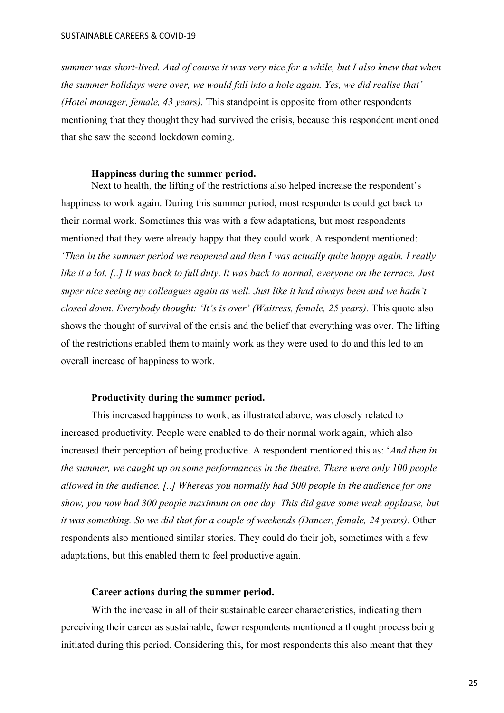*summer was short-lived. And of course it was very nice for a while, but I also knew that when the summer holidays were over, we would fall into a hole again. Yes, we did realise that' (Hotel manager, female, 43 years).* This standpoint is opposite from other respondents mentioning that they thought they had survived the crisis, because this respondent mentioned that she saw the second lockdown coming.

#### **Happiness during the summer period.**

<span id="page-24-0"></span>Next to health, the lifting of the restrictions also helped increase the respondent's happiness to work again. During this summer period, most respondents could get back to their normal work. Sometimes this was with a few adaptations, but most respondents mentioned that they were already happy that they could work. A respondent mentioned: *'Then in the summer period we reopened and then I was actually quite happy again. I really like it a lot. [..] It was back to full duty*. *It was back to normal, everyone on the terrace. Just super nice seeing my colleagues again as well. Just like it had always been and we hadn't closed down. Everybody thought: 'It's is over' (Waitress, female, 25 years).* This quote also shows the thought of survival of the crisis and the belief that everything was over. The lifting of the restrictions enabled them to mainly work as they were used to do and this led to an overall increase of happiness to work.

#### **Productivity during the summer period.**

<span id="page-24-1"></span>This increased happiness to work, as illustrated above, was closely related to increased productivity. People were enabled to do their normal work again, which also increased their perception of being productive. A respondent mentioned this as: '*And then in the summer, we caught up on some performances in the theatre. There were only 100 people allowed in the audience. [..] Whereas you normally had 500 people in the audience for one show, you now had 300 people maximum on one day. This did gave some weak applause, but it was something. So we did that for a couple of weekends (Dancer, female, 24 years).* Other respondents also mentioned similar stories. They could do their job, sometimes with a few adaptations, but this enabled them to feel productive again.

#### **Career actions during the summer period.**

<span id="page-24-2"></span>With the increase in all of their sustainable career characteristics, indicating them perceiving their career as sustainable, fewer respondents mentioned a thought process being initiated during this period. Considering this, for most respondents this also meant that they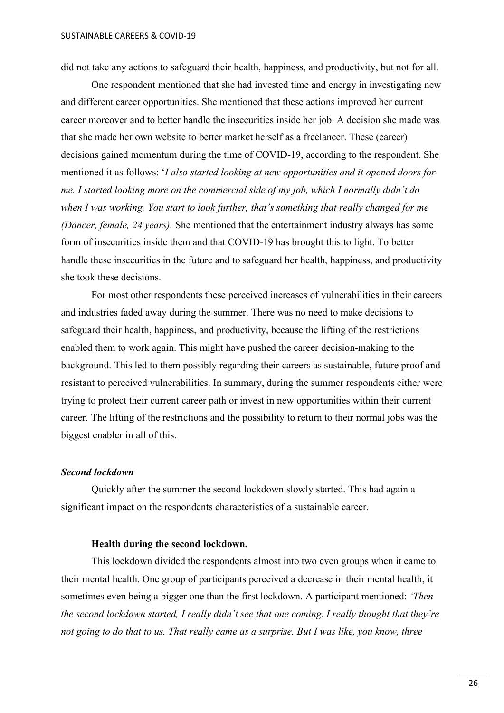did not take any actions to safeguard their health, happiness, and productivity, but not for all.

One respondent mentioned that she had invested time and energy in investigating new and different career opportunities. She mentioned that these actions improved her current career moreover and to better handle the insecurities inside her job. A decision she made was that she made her own website to better market herself as a freelancer. These (career) decisions gained momentum during the time of COVID-19, according to the respondent. She mentioned it as follows: '*I also started looking at new opportunities and it opened doors for me. I started looking more on the commercial side of my job, which I normally didn't do when I was working. You start to look further, that's something that really changed for me (Dancer, female, 24 years).* She mentioned that the entertainment industry always has some form of insecurities inside them and that COVID-19 has brought this to light. To better handle these insecurities in the future and to safeguard her health, happiness, and productivity she took these decisions.

For most other respondents these perceived increases of vulnerabilities in their careers and industries faded away during the summer. There was no need to make decisions to safeguard their health, happiness, and productivity, because the lifting of the restrictions enabled them to work again. This might have pushed the career decision-making to the background. This led to them possibly regarding their careers as sustainable, future proof and resistant to perceived vulnerabilities. In summary, during the summer respondents either were trying to protect their current career path or invest in new opportunities within their current career. The lifting of the restrictions and the possibility to return to their normal jobs was the biggest enabler in all of this.

#### <span id="page-25-0"></span>*Second lockdown*

Quickly after the summer the second lockdown slowly started. This had again a significant impact on the respondents characteristics of a sustainable career.

#### **Health during the second lockdown.**

<span id="page-25-1"></span>This lockdown divided the respondents almost into two even groups when it came to their mental health. One group of participants perceived a decrease in their mental health, it sometimes even being a bigger one than the first lockdown. A participant mentioned: *'Then the second lockdown started, I really didn't see that one coming. I really thought that they're not going to do that to us. That really came as a surprise. But I was like, you know, three*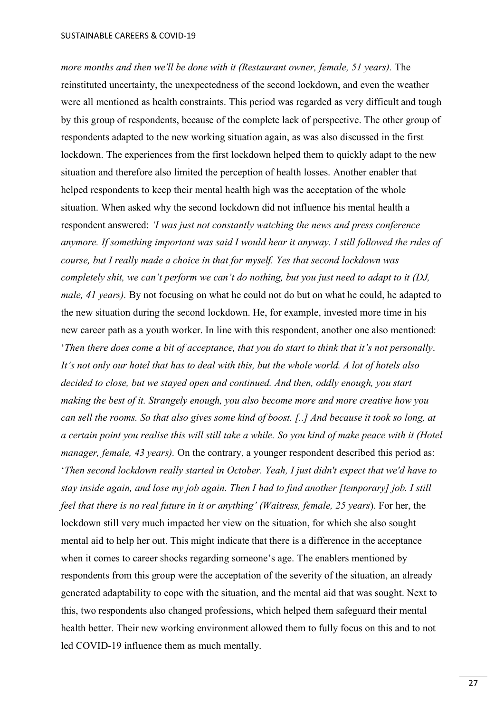*more months and then we'll be done with it (Restaurant owner, female, 51 years).* The reinstituted uncertainty, the unexpectedness of the second lockdown, and even the weather were all mentioned as health constraints. This period was regarded as very difficult and tough by this group of respondents, because of the complete lack of perspective. The other group of respondents adapted to the new working situation again, as was also discussed in the first lockdown. The experiences from the first lockdown helped them to quickly adapt to the new situation and therefore also limited the perception of health losses. Another enabler that helped respondents to keep their mental health high was the acceptation of the whole situation. When asked why the second lockdown did not influence his mental health a respondent answered: *'I was just not constantly watching the news and press conference anymore. If something important was said I would hear it anyway. I still followed the rules of course, but I really made a choice in that for myself. Yes that second lockdown was completely shit, we can't perform we can't do nothing, but you just need to adapt to it (DJ, male, 41 years).* By not focusing on what he could not do but on what he could, he adapted to the new situation during the second lockdown. He, for example, invested more time in his new career path as a youth worker. In line with this respondent, another one also mentioned: '*Then there does come a bit of acceptance, that you do start to think that it's not personally*. *It's not only our hotel that has to deal with this, but the whole world. A lot of hotels also decided to close, but we stayed open and continued. And then, oddly enough, you start making the best of it. Strangely enough, you also become more and more creative how you can sell the rooms. So that also gives some kind of boost. [..] And because it took so long, at a certain point you realise this will still take a while. So you kind of make peace with it (Hotel manager, female, 43 years).* On the contrary, a younger respondent described this period as: '*Then second lockdown really started in October. Yeah, I just didn't expect that we'd have to stay inside again, and lose my job again. Then I had to find another [temporary] job. I still feel that there is no real future in it or anything' (Waitress, female, 25 years*). For her, the lockdown still very much impacted her view on the situation, for which she also sought mental aid to help her out. This might indicate that there is a difference in the acceptance when it comes to career shocks regarding someone's age. The enablers mentioned by respondents from this group were the acceptation of the severity of the situation, an already generated adaptability to cope with the situation, and the mental aid that was sought. Next to this, two respondents also changed professions, which helped them safeguard their mental health better. Their new working environment allowed them to fully focus on this and to not led COVID-19 influence them as much mentally.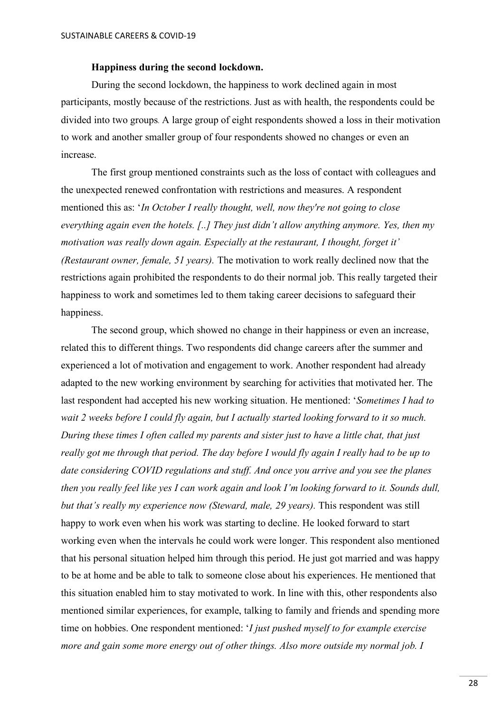#### **Happiness during the second lockdown.**

<span id="page-27-0"></span>During the second lockdown, the happiness to work declined again in most participants, mostly because of the restrictions. Just as with health, the respondents could be divided into two groups. A large group of eight respondents showed a loss in their motivation to work and another smaller group of four respondents showed no changes or even an increase.

The first group mentioned constraints such as the loss of contact with colleagues and the unexpected renewed confrontation with restrictions and measures. A respondent mentioned this as: '*In October I really thought, well, now they're not going to close everything again even the hotels. [..] They just didn't allow anything anymore. Yes, then my motivation was really down again. Especially at the restaurant, I thought, forget it' (Restaurant owner, female, 51 years).* The motivation to work really declined now that the restrictions again prohibited the respondents to do their normal job. This really targeted their happiness to work and sometimes led to them taking career decisions to safeguard their happiness.

The second group, which showed no change in their happiness or even an increase, related this to different things. Two respondents did change careers after the summer and experienced a lot of motivation and engagement to work. Another respondent had already adapted to the new working environment by searching for activities that motivated her. The last respondent had accepted his new working situation. He mentioned: '*Sometimes I had to wait 2 weeks before I could fly again, but I actually started looking forward to it so much. During these times I often called my parents and sister just to have a little chat, that just really got me through that period. The day before I would fly again I really had to be up to date considering COVID regulations and stuff. And once you arrive and you see the planes then you really feel like yes I can work again and look I'm looking forward to it. Sounds dull, but that's really my experience now (Steward, male, 29 years).* This respondent was still happy to work even when his work was starting to decline. He looked forward to start working even when the intervals he could work were longer. This respondent also mentioned that his personal situation helped him through this period. He just got married and was happy to be at home and be able to talk to someone close about his experiences. He mentioned that this situation enabled him to stay motivated to work. In line with this, other respondents also mentioned similar experiences, for example, talking to family and friends and spending more time on hobbies. One respondent mentioned: '*I just pushed myself to for example exercise more and gain some more energy out of other things. Also more outside my normal job. I*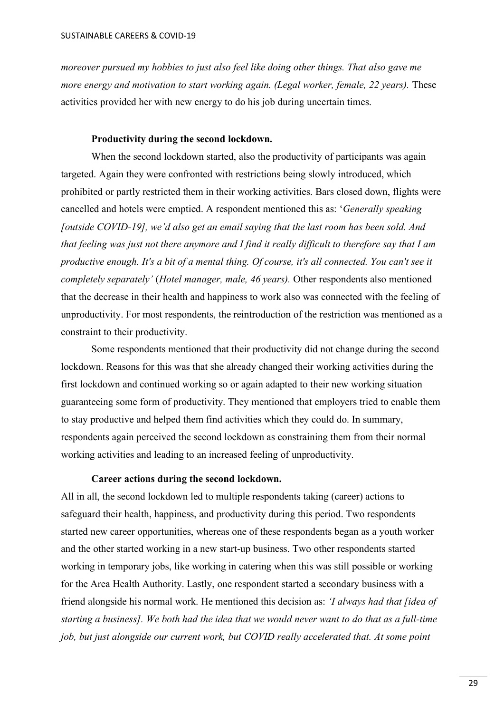*moreover pursued my hobbies to just also feel like doing other things. That also gave me more energy and motivation to start working again. (Legal worker, female, 22 years).* These activities provided her with new energy to do his job during uncertain times.

## **Productivity during the second lockdown.**

<span id="page-28-0"></span>When the second lockdown started, also the productivity of participants was again targeted. Again they were confronted with restrictions being slowly introduced, which prohibited or partly restricted them in their working activities. Bars closed down, flights were cancelled and hotels were emptied. A respondent mentioned this as: '*Generally speaking [outside COVID-19], we'd also get an email saying that the last room has been sold. And that feeling was just not there anymore and I find it really difficult to therefore say that I am productive enough. It's a bit of a mental thing. Of course, it's all connected. You can't see it completely separately'* (*Hotel manager, male, 46 years).* Other respondents also mentioned that the decrease in their health and happiness to work also was connected with the feeling of unproductivity. For most respondents, the reintroduction of the restriction was mentioned as a constraint to their productivity.

Some respondents mentioned that their productivity did not change during the second lockdown. Reasons for this was that she already changed their working activities during the first lockdown and continued working so or again adapted to their new working situation guaranteeing some form of productivity. They mentioned that employers tried to enable them to stay productive and helped them find activities which they could do. In summary, respondents again perceived the second lockdown as constraining them from their normal working activities and leading to an increased feeling of unproductivity.

#### **Career actions during the second lockdown.**

<span id="page-28-1"></span>All in all, the second lockdown led to multiple respondents taking (career) actions to safeguard their health, happiness, and productivity during this period. Two respondents started new career opportunities, whereas one of these respondents began as a youth worker and the other started working in a new start-up business. Two other respondents started working in temporary jobs, like working in catering when this was still possible or working for the Area Health Authority. Lastly, one respondent started a secondary business with a friend alongside his normal work. He mentioned this decision as: *'I always had that [idea of starting a business]. We both had the idea that we would never want to do that as a full-time job, but just alongside our current work, but COVID really accelerated that. At some point*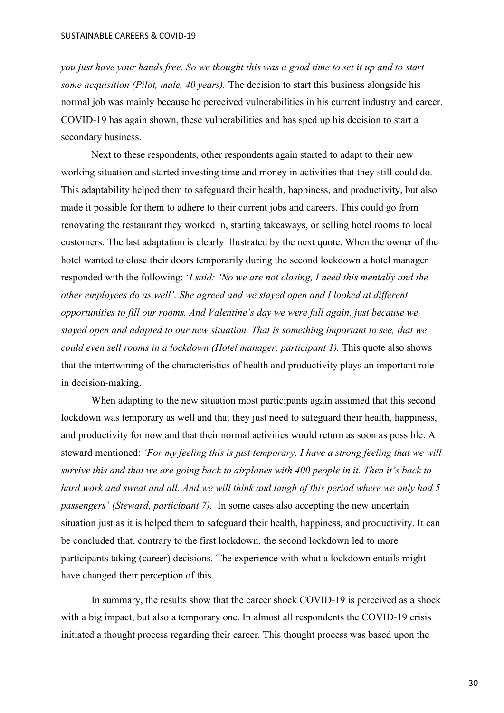*you just have your hands free. So we thought this was a good time to set it up and to start some acquisition (Pilot, male, 40 years).* The decision to start this business alongside his normal job was mainly because he perceived vulnerabilities in his current industry and career. COVID-19 has again shown, these vulnerabilities and has sped up his decision to start a secondary business.

Next to these respondents, other respondents again started to adapt to their new working situation and started investing time and money in activities that they still could do. This adaptability helped them to safeguard their health, happiness, and productivity, but also made it possible for them to adhere to their current jobs and careers. This could go from renovating the restaurant they worked in, starting takeaways, or selling hotel rooms to local customers. The last adaptation is clearly illustrated by the next quote. When the owner of the hotel wanted to close their doors temporarily during the second lockdown a hotel manager responded with the following: '*I said: 'No we are not closing, I need this mentally and the other employees do as well'. She agreed and we stayed open and I looked at different opportunities to fill our rooms. And Valentine's day we were full again, just because we stayed open and adapted to our new situation. That is something important to see, that we could even sell rooms in a lockdown (Hotel manager, participant 1).* This quote also shows that the intertwining of the characteristics of health and productivity plays an important role in decision-making.

When adapting to the new situation most participants again assumed that this second lockdown was temporary as well and that they just need to safeguard their health, happiness, and productivity for now and that their normal activities would return as soon as possible. A steward mentioned: *'For my feeling this is just temporary. I have a strong feeling that we will survive this and that we are going back to airplanes with 400 people in it. Then it's back to hard work and sweat and all. And we will think and laugh of this period where we only had 5 passengers' (Steward, participant 7).* In some cases also accepting the new uncertain situation just as it is helped them to safeguard their health, happiness, and productivity. It can be concluded that, contrary to the first lockdown, the second lockdown led to more participants taking (career) decisions. The experience with what a lockdown entails might have changed their perception of this.

In summary, the results show that the career shock COVID-19 is perceived as a shock with a big impact, but also a temporary one. In almost all respondents the COVID-19 crisis initiated a thought process regarding their career. This thought process was based upon the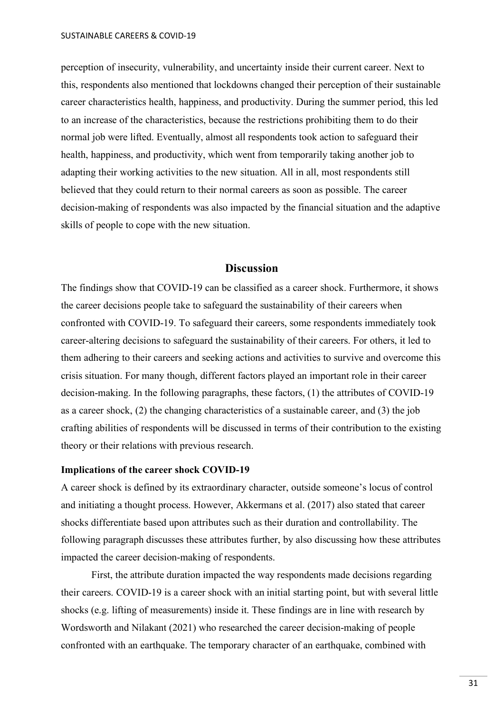perception of insecurity, vulnerability, and uncertainty inside their current career. Next to this, respondents also mentioned that lockdowns changed their perception of their sustainable career characteristics health, happiness, and productivity. During the summer period, this led to an increase of the characteristics, because the restrictions prohibiting them to do their normal job were lifted. Eventually, almost all respondents took action to safeguard their health, happiness, and productivity, which went from temporarily taking another job to adapting their working activities to the new situation. All in all, most respondents still believed that they could return to their normal careers as soon as possible. The career decision-making of respondents was also impacted by the financial situation and the adaptive skills of people to cope with the new situation.

## **Discussion**

<span id="page-30-0"></span>The findings show that COVID-19 can be classified as a career shock. Furthermore, it shows the career decisions people take to safeguard the sustainability of their careers when confronted with COVID-19. To safeguard their careers, some respondents immediately took career-altering decisions to safeguard the sustainability of their careers. For others, it led to them adhering to their careers and seeking actions and activities to survive and overcome this crisis situation. For many though, different factors played an important role in their career decision-making. In the following paragraphs, these factors, (1) the attributes of COVID-19 as a career shock, (2) the changing characteristics of a sustainable career, and (3) the job crafting abilities of respondents will be discussed in terms of their contribution to the existing theory or their relations with previous research.

#### <span id="page-30-1"></span>**Implications of the career shock COVID-19**

A career shock is defined by its extraordinary character, outside someone's locus of control and initiating a thought process. However, Akkermans et al. (2017) also stated that career shocks differentiate based upon attributes such as their duration and controllability. The following paragraph discusses these attributes further, by also discussing how these attributes impacted the career decision-making of respondents.

First, the attribute duration impacted the way respondents made decisions regarding their careers. COVID-19 is a career shock with an initial starting point, but with several little shocks (e.g. lifting of measurements) inside it. These findings are in line with research by Wordsworth and Nilakant (2021) who researched the career decision-making of people confronted with an earthquake. The temporary character of an earthquake, combined with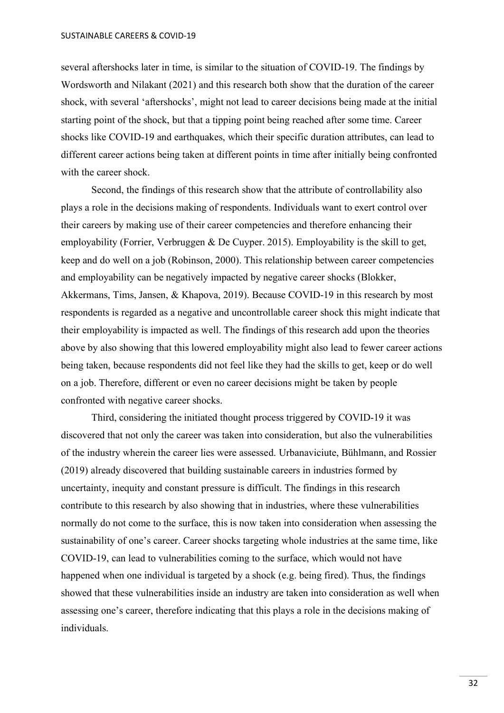SUSTAINABLE CAREERS & COVID-19

several aftershocks later in time, is similar to the situation of COVID-19. The findings by Wordsworth and Nilakant (2021) and this research both show that the duration of the career shock, with several 'aftershocks', might not lead to career decisions being made at the initial starting point of the shock, but that a tipping point being reached after some time. Career shocks like COVID-19 and earthquakes, which their specific duration attributes, can lead to different career actions being taken at different points in time after initially being confronted with the career shock.

Second, the findings of this research show that the attribute of controllability also plays a role in the decisions making of respondents. Individuals want to exert control over their careers by making use of their career competencies and therefore enhancing their employability (Forrier, Verbruggen & De Cuyper. 2015). Employability is the skill to get, keep and do well on a job (Robinson, 2000). This relationship between career competencies and employability can be negatively impacted by negative career shocks (Blokker, Akkermans, Tims, Jansen, & Khapova, 2019). Because COVID-19 in this research by most respondents is regarded as a negative and uncontrollable career shock this might indicate that their employability is impacted as well. The findings of this research add upon the theories above by also showing that this lowered employability might also lead to fewer career actions being taken, because respondents did not feel like they had the skills to get, keep or do well on a job. Therefore, different or even no career decisions might be taken by people confronted with negative career shocks.

Third, considering the initiated thought process triggered by COVID-19 it was discovered that not only the career was taken into consideration, but also the vulnerabilities of the industry wherein the career lies were assessed. Urbanaviciute, Bühlmann, and Rossier (2019) already discovered that building sustainable careers in industries formed by uncertainty, inequity and constant pressure is difficult. The findings in this research contribute to this research by also showing that in industries, where these vulnerabilities normally do not come to the surface, this is now taken into consideration when assessing the sustainability of one's career. Career shocks targeting whole industries at the same time, like COVID-19, can lead to vulnerabilities coming to the surface, which would not have happened when one individual is targeted by a shock (e.g. being fired). Thus, the findings showed that these vulnerabilities inside an industry are taken into consideration as well when assessing one's career, therefore indicating that this plays a role in the decisions making of individuals.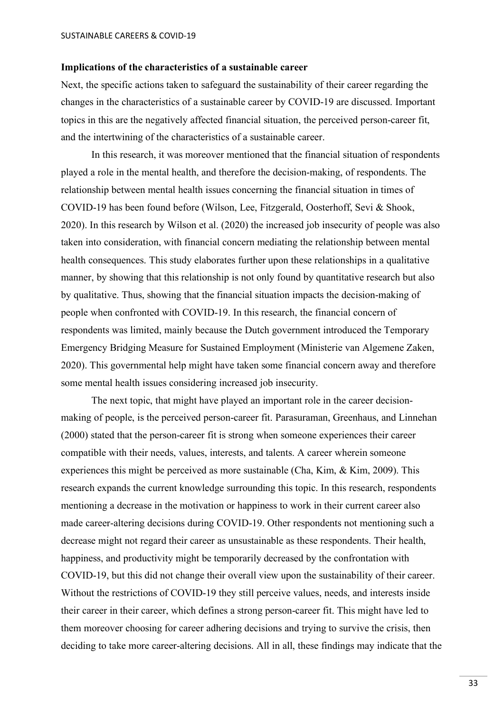#### <span id="page-32-0"></span>**Implications of the characteristics of a sustainable career**

Next, the specific actions taken to safeguard the sustainability of their career regarding the changes in the characteristics of a sustainable career by COVID-19 are discussed. Important topics in this are the negatively affected financial situation, the perceived person-career fit, and the intertwining of the characteristics of a sustainable career.

In this research, it was moreover mentioned that the financial situation of respondents played a role in the mental health, and therefore the decision-making, of respondents. The relationship between mental health issues concerning the financial situation in times of COVID-19 has been found before (Wilson, Lee, Fitzgerald, Oosterhoff, Sevi & Shook, 2020). In this research by Wilson et al. (2020) the increased job insecurity of people was also taken into consideration, with financial concern mediating the relationship between mental health consequences. This study elaborates further upon these relationships in a qualitative manner, by showing that this relationship is not only found by quantitative research but also by qualitative. Thus, showing that the financial situation impacts the decision-making of people when confronted with COVID-19. In this research, the financial concern of respondents was limited, mainly because the Dutch government introduced the Temporary Emergency Bridging Measure for Sustained Employment (Ministerie van Algemene Zaken, 2020). This governmental help might have taken some financial concern away and therefore some mental health issues considering increased job insecurity.

The next topic, that might have played an important role in the career decisionmaking of people, is the perceived person-career fit. Parasuraman, Greenhaus, and Linnehan (2000) stated that the person-career fit is strong when someone experiences their career compatible with their needs, values, interests, and talents. A career wherein someone experiences this might be perceived as more sustainable (Cha, Kim, & Kim, 2009). This research expands the current knowledge surrounding this topic. In this research, respondents mentioning a decrease in the motivation or happiness to work in their current career also made career-altering decisions during COVID-19. Other respondents not mentioning such a decrease might not regard their career as unsustainable as these respondents. Their health, happiness, and productivity might be temporarily decreased by the confrontation with COVID-19, but this did not change their overall view upon the sustainability of their career. Without the restrictions of COVID-19 they still perceive values, needs, and interests inside their career in their career, which defines a strong person-career fit. This might have led to them moreover choosing for career adhering decisions and trying to survive the crisis, then deciding to take more career-altering decisions. All in all, these findings may indicate that the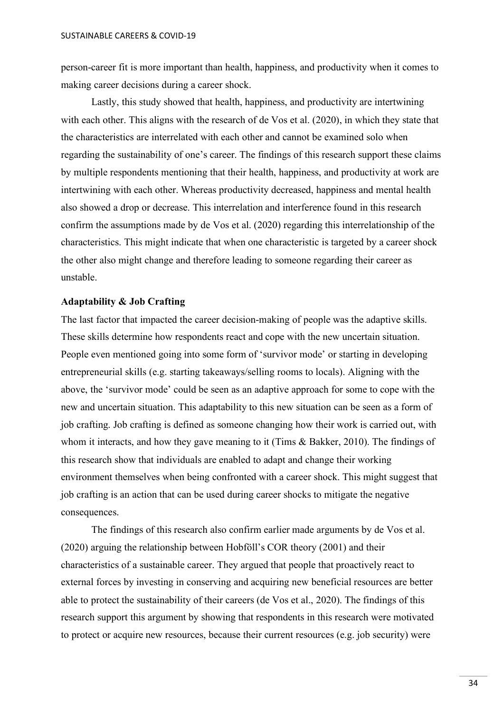person-career fit is more important than health, happiness, and productivity when it comes to making career decisions during a career shock.

Lastly, this study showed that health, happiness, and productivity are intertwining with each other. This aligns with the research of de Vos et al. (2020), in which they state that the characteristics are interrelated with each other and cannot be examined solo when regarding the sustainability of one's career. The findings of this research support these claims by multiple respondents mentioning that their health, happiness, and productivity at work are intertwining with each other. Whereas productivity decreased, happiness and mental health also showed a drop or decrease. This interrelation and interference found in this research confirm the assumptions made by de Vos et al. (2020) regarding this interrelationship of the characteristics. This might indicate that when one characteristic is targeted by a career shock the other also might change and therefore leading to someone regarding their career as unstable.

#### <span id="page-33-0"></span>**Adaptability & Job Crafting**

The last factor that impacted the career decision-making of people was the adaptive skills. These skills determine how respondents react and cope with the new uncertain situation. People even mentioned going into some form of 'survivor mode' or starting in developing entrepreneurial skills (e.g. starting takeaways/selling rooms to locals). Aligning with the above, the 'survivor mode' could be seen as an adaptive approach for some to cope with the new and uncertain situation. This adaptability to this new situation can be seen as a form of job crafting. Job crafting is defined as someone changing how their work is carried out, with whom it interacts, and how they gave meaning to it (Tims & Bakker, 2010). The findings of this research show that individuals are enabled to adapt and change their working environment themselves when being confronted with a career shock. This might suggest that job crafting is an action that can be used during career shocks to mitigate the negative consequences.

The findings of this research also confirm earlier made arguments by de Vos et al. (2020) arguing the relationship between Hobföll's COR theory (2001) and their characteristics of a sustainable career. They argued that people that proactively react to external forces by investing in conserving and acquiring new beneficial resources are better able to protect the sustainability of their careers (de Vos et al., 2020). The findings of this research support this argument by showing that respondents in this research were motivated to protect or acquire new resources, because their current resources (e.g. job security) were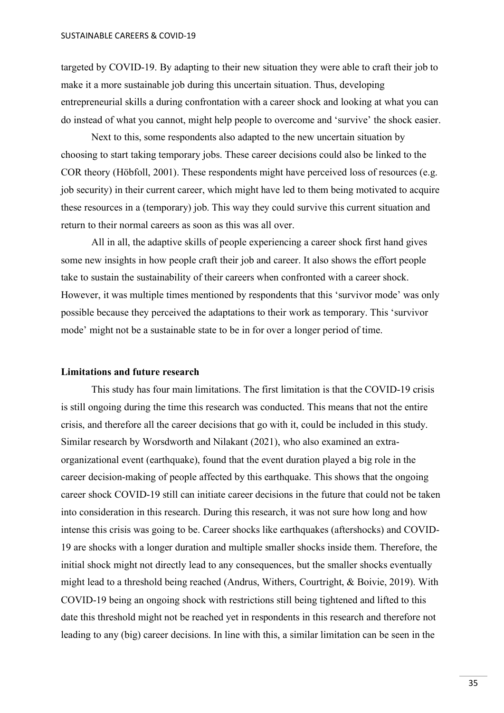targeted by COVID-19. By adapting to their new situation they were able to craft their job to make it a more sustainable job during this uncertain situation. Thus, developing entrepreneurial skills a during confrontation with a career shock and looking at what you can do instead of what you cannot, might help people to overcome and 'survive' the shock easier.

Next to this, some respondents also adapted to the new uncertain situation by choosing to start taking temporary jobs. These career decisions could also be linked to the COR theory (Höbfoll, 2001). These respondents might have perceived loss of resources (e.g. job security) in their current career, which might have led to them being motivated to acquire these resources in a (temporary) job. This way they could survive this current situation and return to their normal careers as soon as this was all over.

All in all, the adaptive skills of people experiencing a career shock first hand gives some new insights in how people craft their job and career. It also shows the effort people take to sustain the sustainability of their careers when confronted with a career shock. However, it was multiple times mentioned by respondents that this 'survivor mode' was only possible because they perceived the adaptations to their work as temporary. This 'survivor mode' might not be a sustainable state to be in for over a longer period of time.

#### <span id="page-34-0"></span>**Limitations and future research**

This study has four main limitations. The first limitation is that the COVID-19 crisis is still ongoing during the time this research was conducted. This means that not the entire crisis, and therefore all the career decisions that go with it, could be included in this study. Similar research by Worsdworth and Nilakant (2021), who also examined an extraorganizational event (earthquake), found that the event duration played a big role in the career decision-making of people affected by this earthquake. This shows that the ongoing career shock COVID-19 still can initiate career decisions in the future that could not be taken into consideration in this research. During this research, it was not sure how long and how intense this crisis was going to be. Career shocks like earthquakes (aftershocks) and COVID-19 are shocks with a longer duration and multiple smaller shocks inside them. Therefore, the initial shock might not directly lead to any consequences, but the smaller shocks eventually might lead to a threshold being reached (Andrus, Withers, Courtright, & Boivie, 2019). With COVID-19 being an ongoing shock with restrictions still being tightened and lifted to this date this threshold might not be reached yet in respondents in this research and therefore not leading to any (big) career decisions. In line with this, a similar limitation can be seen in the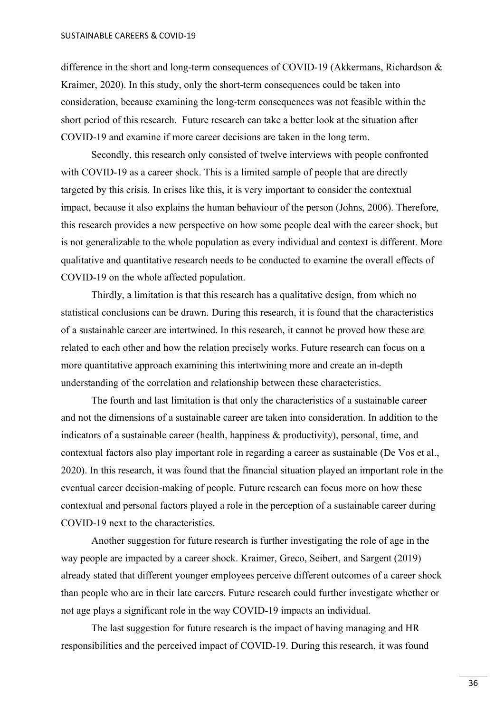difference in the short and long-term consequences of COVID-19 (Akkermans, Richardson & Kraimer, 2020). In this study, only the short-term consequences could be taken into consideration, because examining the long-term consequences was not feasible within the short period of this research. Future research can take a better look at the situation after COVID-19 and examine if more career decisions are taken in the long term.

Secondly, this research only consisted of twelve interviews with people confronted with COVID-19 as a career shock. This is a limited sample of people that are directly targeted by this crisis. In crises like this, it is very important to consider the contextual impact, because it also explains the human behaviour of the person (Johns, 2006). Therefore, this research provides a new perspective on how some people deal with the career shock, but is not generalizable to the whole population as every individual and context is different. More qualitative and quantitative research needs to be conducted to examine the overall effects of COVID-19 on the whole affected population.

Thirdly, a limitation is that this research has a qualitative design, from which no statistical conclusions can be drawn. During this research, it is found that the characteristics of a sustainable career are intertwined. In this research, it cannot be proved how these are related to each other and how the relation precisely works. Future research can focus on a more quantitative approach examining this intertwining more and create an in-depth understanding of the correlation and relationship between these characteristics.

The fourth and last limitation is that only the characteristics of a sustainable career and not the dimensions of a sustainable career are taken into consideration. In addition to the indicators of a sustainable career (health, happiness & productivity), personal, time, and contextual factors also play important role in regarding a career as sustainable (De Vos et al., 2020). In this research, it was found that the financial situation played an important role in the eventual career decision-making of people. Future research can focus more on how these contextual and personal factors played a role in the perception of a sustainable career during COVID-19 next to the characteristics.

Another suggestion for future research is further investigating the role of age in the way people are impacted by a career shock. Kraimer, Greco, Seibert, and Sargent (2019) already stated that different younger employees perceive different outcomes of a career shock than people who are in their late careers. Future research could further investigate whether or not age plays a significant role in the way COVID-19 impacts an individual.

The last suggestion for future research is the impact of having managing and HR responsibilities and the perceived impact of COVID-19. During this research, it was found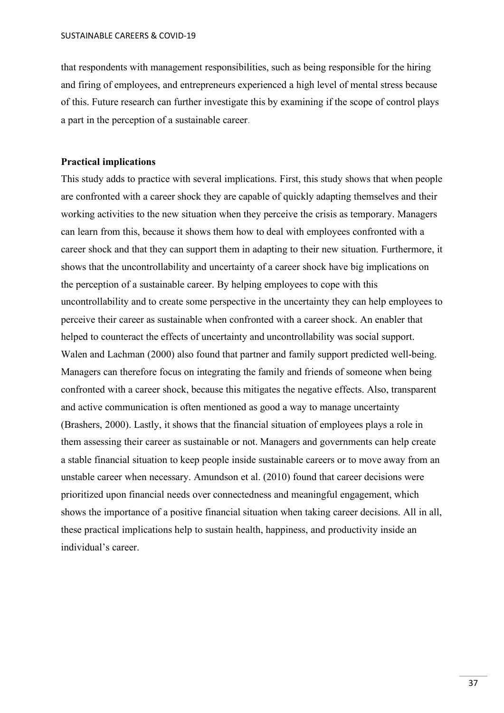that respondents with management responsibilities, such as being responsible for the hiring and firing of employees, and entrepreneurs experienced a high level of mental stress because of this. Future research can further investigate this by examining if the scope of control plays a part in the perception of a sustainable career.

#### <span id="page-36-0"></span>**Practical implications**

<span id="page-36-1"></span>This study adds to practice with several implications. First, this study shows that when people are confronted with a career shock they are capable of quickly adapting themselves and their working activities to the new situation when they perceive the crisis as temporary. Managers can learn from this, because it shows them how to deal with employees confronted with a career shock and that they can support them in adapting to their new situation. Furthermore, it shows that the uncontrollability and uncertainty of a career shock have big implications on the perception of a sustainable career. By helping employees to cope with this uncontrollability and to create some perspective in the uncertainty they can help employees to perceive their career as sustainable when confronted with a career shock. An enabler that helped to counteract the effects of uncertainty and uncontrollability was social support. Walen and Lachman (2000) also found that partner and family support predicted well-being. Managers can therefore focus on integrating the family and friends of someone when being confronted with a career shock, because this mitigates the negative effects. Also, transparent and active communication is often mentioned as good a way to manage uncertainty (Brashers, 2000). Lastly, it shows that the financial situation of employees plays a role in them assessing their career as sustainable or not. Managers and governments can help create a stable financial situation to keep people inside sustainable careers or to move away from an unstable career when necessary. Amundson et al. (2010) found that career decisions were prioritized upon financial needs over connectedness and meaningful engagement, which shows the importance of a positive financial situation when taking career decisions. All in all, these practical implications help to sustain health, happiness, and productivity inside an individual's career.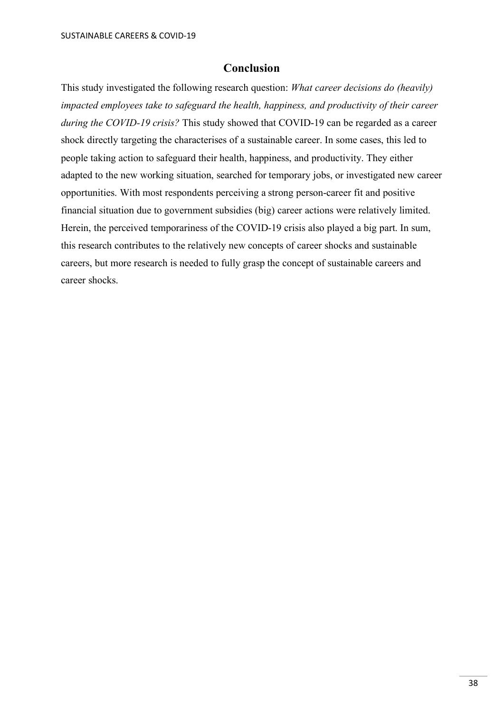## **Conclusion**

This study investigated the following research question: *What career decisions do (heavily) impacted employees take to safeguard the health, happiness, and productivity of their career during the COVID-19 crisis?* This study showed that COVID-19 can be regarded as a career shock directly targeting the characterises of a sustainable career. In some cases, this led to people taking action to safeguard their health, happiness, and productivity. They either adapted to the new working situation, searched for temporary jobs, or investigated new career opportunities. With most respondents perceiving a strong person-career fit and positive financial situation due to government subsidies (big) career actions were relatively limited. Herein, the perceived temporariness of the COVID-19 crisis also played a big part. In sum, this research contributes to the relatively new concepts of career shocks and sustainable careers, but more research is needed to fully grasp the concept of sustainable careers and career shocks.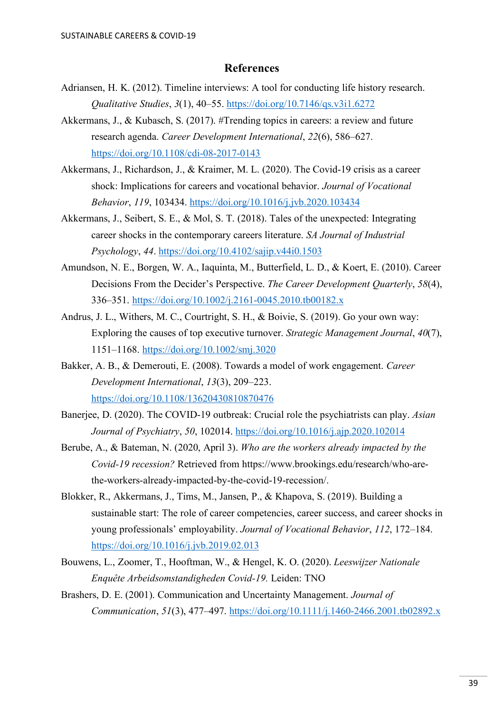## **References**

- <span id="page-38-0"></span>Adriansen, H. K. (2012). Timeline interviews: A tool for conducting life history research. *Qualitative Studies*, *3*(1), 40–55.<https://doi.org/10.7146/qs.v3i1.6272>
- Akkermans, J., & Kubasch, S. (2017). #Trending topics in careers: a review and future research agenda. *Career Development International*, *22*(6), 586–627. <https://doi.org/10.1108/cdi-08-2017-0143>
- Akkermans, J., Richardson, J., & Kraimer, M. L. (2020). The Covid-19 crisis as a career shock: Implications for careers and vocational behavior. *Journal of Vocational Behavior*, *119*, 103434.<https://doi.org/10.1016/j.jvb.2020.103434>
- Akkermans, J., Seibert, S. E., & Mol, S. T. (2018). Tales of the unexpected: Integrating career shocks in the contemporary careers literature. *SA Journal of Industrial Psychology*, *44*.<https://doi.org/10.4102/sajip.v44i0.1503>
- Amundson, N. E., Borgen, W. A., Iaquinta, M., Butterfield, L. D., & Koert, E. (2010). Career Decisions From the Decider's Perspective. *The Career Development Quarterly*, *58*(4), 336–351.<https://doi.org/10.1002/j.2161-0045.2010.tb00182.x>
- Andrus, J. L., Withers, M. C., Courtright, S. H., & Boivie, S. (2019). Go your own way: Exploring the causes of top executive turnover. *Strategic Management Journal*, *40*(7), 1151–1168.<https://doi.org/10.1002/smj.3020>
- Bakker, A. B., & Demerouti, E. (2008). Towards a model of work engagement. *Career Development International*, *13*(3), 209–223. <https://doi.org/10.1108/13620430810870476>
- Banerjee, D. (2020). The COVID-19 outbreak: Crucial role the psychiatrists can play. *Asian Journal of Psychiatry*, *50*, 102014.<https://doi.org/10.1016/j.ajp.2020.102014>
- Berube, A., & Bateman, N. (2020, April 3). *Who are the workers already impacted by the Covid-19 recession?* Retrieved from https://www.brookings.edu/research/who-arethe-workers-already-impacted-by-the-covid-19-recession/.
- Blokker, R., Akkermans, J., Tims, M., Jansen, P., & Khapova, S. (2019). Building a sustainable start: The role of career competencies, career success, and career shocks in young professionals' employability. *Journal of Vocational Behavior*, *112*, 172–184. <https://doi.org/10.1016/j.jvb.2019.02.013>
- Bouwens, L., Zoomer, T., Hooftman, W., & Hengel, K. O. (2020). *Leeswijzer Nationale Enquête Arbeidsomstandigheden Covid-19.* Leiden: TNO
- Brashers, D. E. (2001). Communication and Uncertainty Management. *Journal of Communication*, *51*(3), 477–497.<https://doi.org/10.1111/j.1460-2466.2001.tb02892.x>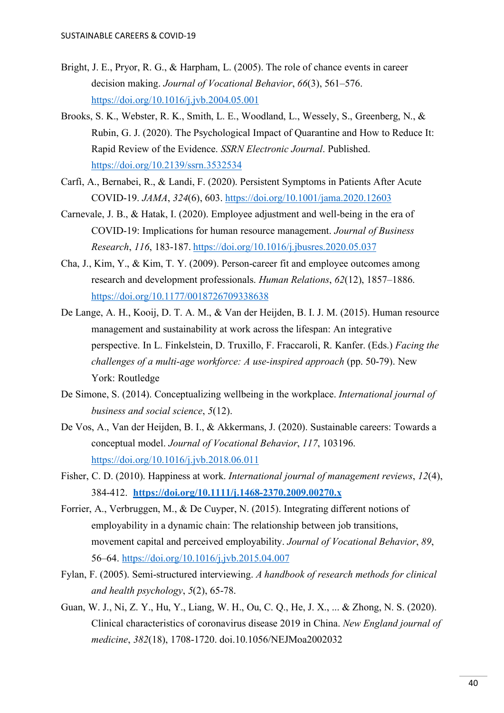- Bright, J. E., Pryor, R. G., & Harpham, L. (2005). The role of chance events in career decision making. *Journal of Vocational Behavior*, *66*(3), 561–576. <https://doi.org/10.1016/j.jvb.2004.05.001>
- Brooks, S. K., Webster, R. K., Smith, L. E., Woodland, L., Wessely, S., Greenberg, N., & Rubin, G. J. (2020). The Psychological Impact of Quarantine and How to Reduce It: Rapid Review of the Evidence. *SSRN Electronic Journal*. Published. <https://doi.org/10.2139/ssrn.3532534>
- Carfì, A., Bernabei, R., & Landi, F. (2020). Persistent Symptoms in Patients After Acute COVID-19. *JAMA*, *324*(6), 603.<https://doi.org/10.1001/jama.2020.12603>
- Carnevale, J. B., & Hatak, I. (2020). Employee adjustment and well-being in the era of COVID-19: Implications for human resource management. *Journal of Business Research*, *116*, 183-187. <https://doi.org/10.1016/j.jbusres.2020.05.037>
- Cha, J., Kim, Y., & Kim, T. Y. (2009). Person-career fit and employee outcomes among research and development professionals. *Human Relations*, *62*(12), 1857–1886. <https://doi.org/10.1177/0018726709338638>
- De Lange, A. H., Kooij, D. T. A. M., & Van der Heijden, B. I. J. M. (2015). Human resource management and sustainability at work across the lifespan: An integrative perspective. In L. Finkelstein, D. Truxillo, F. Fraccaroli, R. Kanfer. (Eds.) *Facing the challenges of a multi-age workforce: A use-inspired approach* (pp. 50-79). New York: Routledge
- De Simone, S. (2014). Conceptualizing wellbeing in the workplace. *International journal of business and social science*, *5*(12).
- De Vos, A., Van der Heijden, B. I., & Akkermans, J. (2020). Sustainable careers: Towards a conceptual model. *Journal of Vocational Behavior*, *117*, 103196. <https://doi.org/10.1016/j.jvb.2018.06.011>
- Fisher, C. D. (2010). Happiness at work. *International journal of management reviews*, *12*(4), 384-412. **<https://doi.org/10.1111/j.1468-2370.2009.00270.x>**
- Forrier, A., Verbruggen, M., & De Cuyper, N. (2015). Integrating different notions of employability in a dynamic chain: The relationship between job transitions, movement capital and perceived employability. *Journal of Vocational Behavior*, *89*, 56–64.<https://doi.org/10.1016/j.jvb.2015.04.007>
- Fylan, F. (2005). Semi-structured interviewing. *A handbook of research methods for clinical and health psychology*, *5*(2), 65-78.
- Guan, W. J., Ni, Z. Y., Hu, Y., Liang, W. H., Ou, C. Q., He, J. X., ... & Zhong, N. S. (2020). Clinical characteristics of coronavirus disease 2019 in China. *New England journal of medicine*, *382*(18), 1708-1720. doi.10.1056/NEJMoa2002032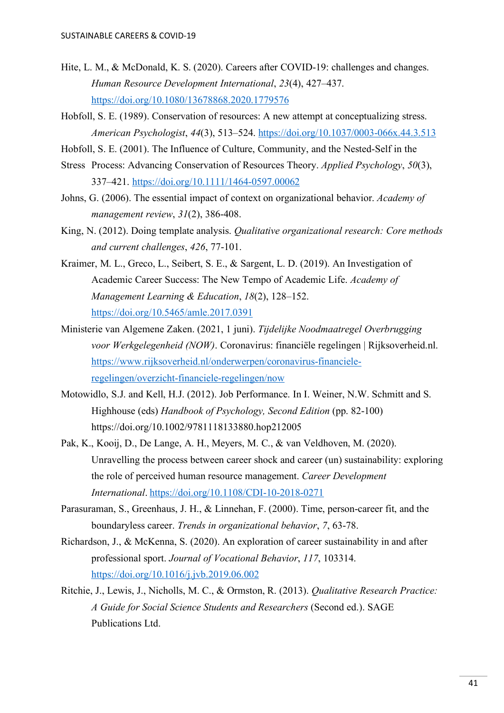- Hite, L. M., & McDonald, K. S. (2020). Careers after COVID-19: challenges and changes. *Human Resource Development International*, *23*(4), 427–437. <https://doi.org/10.1080/13678868.2020.1779576>
- Hobfoll, S. E. (1989). Conservation of resources: A new attempt at conceptualizing stress. *American Psychologist*, *44*(3), 513–524.<https://doi.org/10.1037/0003-066x.44.3.513>
- Hobfoll, S. E. (2001). The Influence of Culture, Community, and the Nested‐Self in the
- Stress Process: Advancing Conservation of Resources Theory. *Applied Psychology*, *50*(3), 337–421.<https://doi.org/10.1111/1464-0597.00062>
- Johns, G. (2006). The essential impact of context on organizational behavior. *Academy of management review*, *31*(2), 386-408.
- King, N. (2012). Doing template analysis. *Qualitative organizational research: Core methods and current challenges*, *426*, 77-101.
- Kraimer, M. L., Greco, L., Seibert, S. E., & Sargent, L. D. (2019). An Investigation of Academic Career Success: The New Tempo of Academic Life. *Academy of Management Learning & Education*, *18*(2), 128–152. <https://doi.org/10.5465/amle.2017.0391>
- Ministerie van Algemene Zaken. (2021, 1 juni). *Tijdelijke Noodmaatregel Overbrugging voor Werkgelegenheid (NOW)*. Coronavirus: financiële regelingen | Rijksoverheid.nl. [https://www.rijksoverheid.nl/onderwerpen/coronavirus-financiele](https://www.rijksoverheid.nl/onderwerpen/coronavirus-financiele-regelingen/overzicht-financiele-regelingen/now)[regelingen/overzicht-financiele-regelingen/now](https://www.rijksoverheid.nl/onderwerpen/coronavirus-financiele-regelingen/overzicht-financiele-regelingen/now)
- Motowidlo, S.J. and Kell, H.J. (2012). Job Performance. In I. Weiner, N.W. Schmitt and S. Highhouse (eds) *Handbook of Psychology, Second Edition* (pp. 82-100) <https://doi.org/10.1002/9781118133880.hop212005>
- Pak, K., Kooij, D., De Lange, A. H., Meyers, M. C., & van Veldhoven, M. (2020). Unravelling the process between career shock and career (un) sustainability: exploring the role of perceived human resource management. *Career Development International*. <https://doi.org/10.1108/CDI-10-2018-0271>
- Parasuraman, S., Greenhaus, J. H., & Linnehan, F. (2000). Time, person-career fit, and the boundaryless career. *Trends in organizational behavior*, *7*, 63-78.
- Richardson, J., & McKenna, S. (2020). An exploration of career sustainability in and after professional sport. *Journal of Vocational Behavior*, *117*, 103314. <https://doi.org/10.1016/j.jvb.2019.06.002>
- Ritchie, J., Lewis, J., Nicholls, M. C., & Ormston, R. (2013). *Qualitative Research Practice: A Guide for Social Science Students and Researchers* (Second ed.). SAGE Publications Ltd.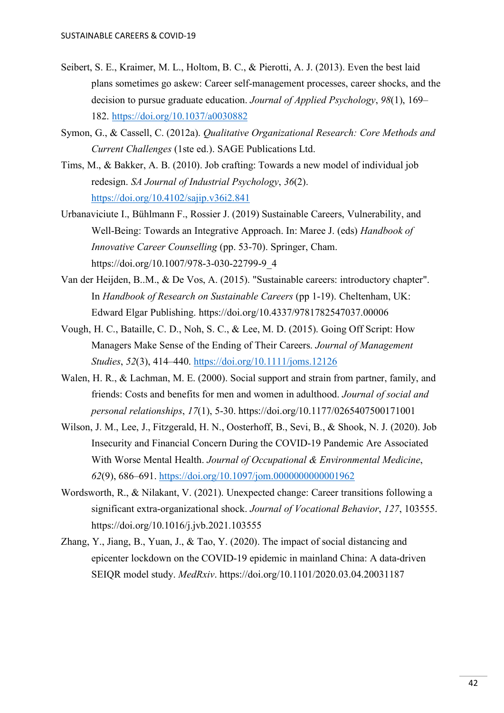- Seibert, S. E., Kraimer, M. L., Holtom, B. C., & Pierotti, A. J. (2013). Even the best laid plans sometimes go askew: Career self-management processes, career shocks, and the decision to pursue graduate education. *Journal of Applied Psychology*, *98*(1), 169– 182.<https://doi.org/10.1037/a0030882>
- Symon, G., & Cassell, C. (2012a). *Qualitative Organizational Research: Core Methods and Current Challenges* (1ste ed.). SAGE Publications Ltd.
- Tims, M., & Bakker, A. B. (2010). Job crafting: Towards a new model of individual job redesign. *SA Journal of Industrial Psychology*, *36*(2). <https://doi.org/10.4102/sajip.v36i2.841>
- Urbanaviciute I., Bühlmann F., Rossier J. (2019) Sustainable Careers, Vulnerability, and Well-Being: Towards an Integrative Approach. In: Maree J. (eds) *Handbook of Innovative Career Counselling* (pp. 53-70). Springer, Cham. [https://doi.org/10.1007/978-3-030-22799-9\\_4](https://doi.org/10.1007/978-3-030-22799-9_4)
- Van der Heijden, B..M., & De Vos, A. (2015). "Sustainable careers: introductory chapter". In *Handbook of Research on Sustainable Careers* (pp 1-19). Cheltenham, UK: Edward Elgar Publishing.<https://doi.org/10.4337/9781782547037.00006>
- Vough, H. C., Bataille, C. D., Noh, S. C., & Lee, M. D. (2015). Going Off Script: How Managers Make Sense of the Ending of Their Careers. *Journal of Management Studies*, *52*(3), 414–440.<https://doi.org/10.1111/joms.12126>
- Walen, H. R., & Lachman, M. E. (2000). Social support and strain from partner, family, and friends: Costs and benefits for men and women in adulthood. *Journal of social and personal relationships*, *17*(1), 5-30. [https://doi.org/10.1177/0265407500171001](https://doi.org/10.1177%2F0265407500171001)
- Wilson, J. M., Lee, J., Fitzgerald, H. N., Oosterhoff, B., Sevi, B., & Shook, N. J. (2020). Job Insecurity and Financial Concern During the COVID-19 Pandemic Are Associated With Worse Mental Health. *Journal of Occupational & Environmental Medicine*, *62*(9), 686–691.<https://doi.org/10.1097/jom.0000000000001962>
- Wordsworth, R., & Nilakant, V. (2021). Unexpected change: Career transitions following a significant extra-organizational shock. *Journal of Vocational Behavior*, *127*, 103555. <https://doi.org/10.1016/j.jvb.2021.103555>
- Zhang, Y., Jiang, B., Yuan, J., & Tao, Y. (2020). The impact of social distancing and epicenter lockdown on the COVID-19 epidemic in mainland China: A data-driven SEIQR model study. *MedRxiv*. https://doi.org/10.1101/2020.03.04.20031187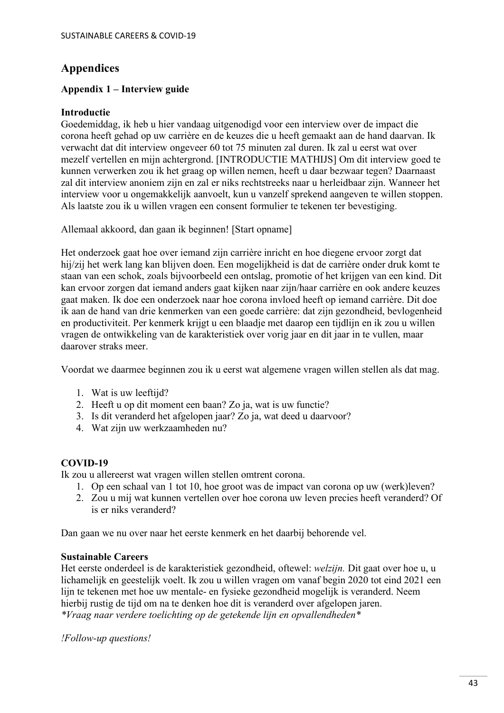## <span id="page-42-0"></span>**Appendices**

## <span id="page-42-1"></span>**Appendix 1 – Interview guide**

## **Introductie**

Goedemiddag, ik heb u hier vandaag uitgenodigd voor een interview over de impact die corona heeft gehad op uw carrière en de keuzes die u heeft gemaakt aan de hand daarvan. Ik verwacht dat dit interview ongeveer 60 tot 75 minuten zal duren. Ik zal u eerst wat over mezelf vertellen en mijn achtergrond. [INTRODUCTIE MATHIJS] Om dit interview goed te kunnen verwerken zou ik het graag op willen nemen, heeft u daar bezwaar tegen? Daarnaast zal dit interview anoniem zijn en zal er niks rechtstreeks naar u herleidbaar zijn. Wanneer het interview voor u ongemakkelijk aanvoelt, kun u vanzelf sprekend aangeven te willen stoppen. Als laatste zou ik u willen vragen een consent formulier te tekenen ter bevestiging.

Allemaal akkoord, dan gaan ik beginnen! [Start opname]

Het onderzoek gaat hoe over iemand zijn carrière inricht en hoe diegene ervoor zorgt dat hij/zij het werk lang kan blijven doen. Een mogelijkheid is dat de carrière onder druk komt te staan van een schok, zoals bijvoorbeeld een ontslag, promotie of het krijgen van een kind. Dit kan ervoor zorgen dat iemand anders gaat kijken naar zijn/haar carrière en ook andere keuzes gaat maken. Ik doe een onderzoek naar hoe corona invloed heeft op iemand carrière. Dit doe ik aan de hand van drie kenmerken van een goede carrière: dat zijn gezondheid, bevlogenheid en productiviteit. Per kenmerk krijgt u een blaadje met daarop een tijdlijn en ik zou u willen vragen de ontwikkeling van de karakteristiek over vorig jaar en dit jaar in te vullen, maar daarover straks meer.

Voordat we daarmee beginnen zou ik u eerst wat algemene vragen willen stellen als dat mag.

- 1. Wat is uw leeftijd?
- 2. Heeft u op dit moment een baan? Zo ja, wat is uw functie?
- 3. Is dit veranderd het afgelopen jaar? Zo ja, wat deed u daarvoor?
- 4. Wat zijn uw werkzaamheden nu?

## **COVID-19**

Ik zou u allereerst wat vragen willen stellen omtrent corona.

- 1. Op een schaal van 1 tot 10, hoe groot was de impact van corona op uw (werk)leven?
- 2. Zou u mij wat kunnen vertellen over hoe corona uw leven precies heeft veranderd? Of is er niks veranderd?

Dan gaan we nu over naar het eerste kenmerk en het daarbij behorende vel.

## **Sustainable Careers**

Het eerste onderdeel is de karakteristiek gezondheid, oftewel: *welzijn.* Dit gaat over hoe u, u lichamelijk en geestelijk voelt. Ik zou u willen vragen om vanaf begin 2020 tot eind 2021 een lijn te tekenen met hoe uw mentale- en fysieke gezondheid mogelijk is veranderd. Neem hierbij rustig de tijd om na te denken hoe dit is veranderd over afgelopen jaren. *\*Vraag naar verdere toelichting op de getekende lijn en opvallendheden\**

*!Follow-up questions!*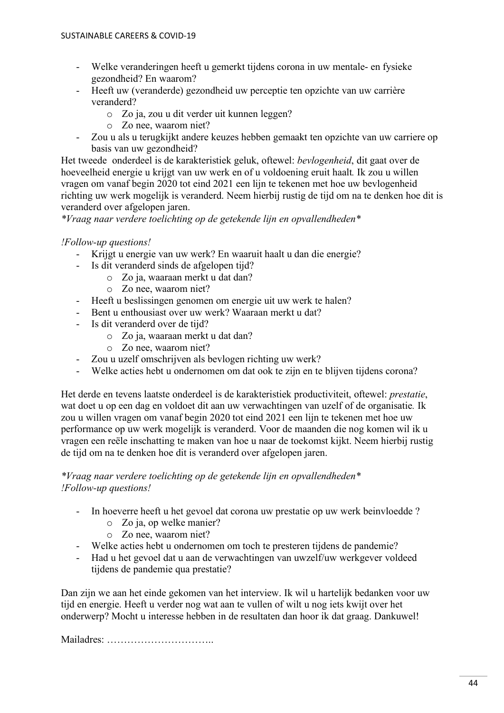- Welke veranderingen heeft u gemerkt tijdens corona in uw mentale- en fysieke gezondheid? En waarom?
- Heeft uw (veranderde) gezondheid uw perceptie ten opzichte van uw carrière veranderd?
	- o Zo ja, zou u dit verder uit kunnen leggen?
	- o Zo nee, waarom niet?
- Zou u als u terugkijkt andere keuzes hebben gemaakt ten opzichte van uw carriere op basis van uw gezondheid?

Het tweede onderdeel is de karakteristiek geluk, oftewel: *bevlogenheid*, dit gaat over de hoeveelheid energie u krijgt van uw werk en of u voldoening eruit haalt*.* Ik zou u willen vragen om vanaf begin 2020 tot eind 2021 een lijn te tekenen met hoe uw bevlogenheid richting uw werk mogelijk is veranderd. Neem hierbij rustig de tijd om na te denken hoe dit is veranderd over afgelopen jaren.

*\*Vraag naar verdere toelichting op de getekende lijn en opvallendheden\**

## *!Follow-up questions!*

- Krijgt u energie van uw werk? En waaruit haalt u dan die energie?
- Is dit veranderd sinds de afgelopen tijd?
	- o Zo ja, waaraan merkt u dat dan?
	- o Zo nee, waarom niet?
- Heeft u beslissingen genomen om energie uit uw werk te halen?
- Bent u enthousiast over uw werk? Waaraan merkt u dat?
- Is dit veranderd over de tijd?
	- o Zo ja, waaraan merkt u dat dan?
	- o Zo nee, waarom niet?
- Zou u uzelf omschrijven als bevlogen richting uw werk?
- Welke acties hebt u ondernomen om dat ook te zijn en te blijven tijdens corona?

Het derde en tevens laatste onderdeel is de karakteristiek productiviteit, oftewel: *prestatie*, wat doet u op een dag en voldoet dit aan uw verwachtingen van uzelf of de organisatie*.* Ik zou u willen vragen om vanaf begin 2020 tot eind 2021 een lijn te tekenen met hoe uw performance op uw werk mogelijk is veranderd. Voor de maanden die nog komen wil ik u vragen een reële inschatting te maken van hoe u naar de toekomst kijkt. Neem hierbij rustig de tijd om na te denken hoe dit is veranderd over afgelopen jaren.

## *\*Vraag naar verdere toelichting op de getekende lijn en opvallendheden\* !Follow-up questions!*

- In hoeverre heeft u het gevoel dat corona uw prestatie op uw werk beinvloedde ?
	- o Zo ja, op welke manier?
	- o Zo nee, waarom niet?
- Welke acties hebt u ondernomen om toch te presteren tijdens de pandemie?
- Had u het gevoel dat u aan de verwachtingen van uwzelf/uw werkgever voldeed tijdens de pandemie qua prestatie?

Dan zijn we aan het einde gekomen van het interview. Ik wil u hartelijk bedanken voor uw tijd en energie. Heeft u verder nog wat aan te vullen of wilt u nog iets kwijt over het onderwerp? Mocht u interesse hebben in de resultaten dan hoor ik dat graag. Dankuwel!

Mailadres: …………………………..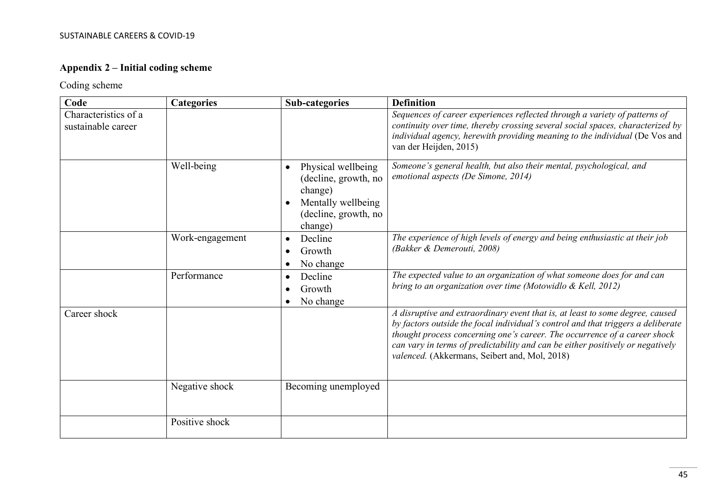## **Appendix 2 – Initial coding scheme**

## Coding scheme

<span id="page-44-0"></span>

| Code                                       | <b>Categories</b> | <b>Sub-categories</b>                                                                                                       | <b>Definition</b>                                                                                                                                                                                                                                                                                                                                                                 |
|--------------------------------------------|-------------------|-----------------------------------------------------------------------------------------------------------------------------|-----------------------------------------------------------------------------------------------------------------------------------------------------------------------------------------------------------------------------------------------------------------------------------------------------------------------------------------------------------------------------------|
| Characteristics of a<br>sustainable career |                   |                                                                                                                             | Sequences of career experiences reflected through a variety of patterns of<br>continuity over time, thereby crossing several social spaces, characterized by<br>individual agency, herewith providing meaning to the individual (De Vos and<br>van der Heijden, 2015)                                                                                                             |
|                                            | Well-being        | Physical wellbeing<br>$\bullet$<br>(decline, growth, no<br>change)<br>Mentally wellbeing<br>(decline, growth, no<br>change) | Someone's general health, but also their mental, psychological, and<br>emotional aspects (De Simone, 2014)                                                                                                                                                                                                                                                                        |
|                                            | Work-engagement   | Decline<br>$\bullet$<br>Growth<br>No change<br>$\bullet$                                                                    | The experience of high levels of energy and being enthusiastic at their job<br>(Bakker & Demerouti, 2008)                                                                                                                                                                                                                                                                         |
|                                            | Performance       | Decline<br>$\bullet$<br>Growth<br>No change                                                                                 | The expected value to an organization of what someone does for and can<br>bring to an organization over time (Motowidlo & Kell, 2012)                                                                                                                                                                                                                                             |
| Career shock                               |                   |                                                                                                                             | A disruptive and extraordinary event that is, at least to some degree, caused<br>by factors outside the focal individual's control and that triggers a deliberate<br>thought process concerning one's career. The occurrence of a career shock<br>can vary in terms of predictability and can be either positively or negatively<br>valenced. (Akkermans, Seibert and, Mol, 2018) |
|                                            | Negative shock    | Becoming unemployed                                                                                                         |                                                                                                                                                                                                                                                                                                                                                                                   |
|                                            | Positive shock    |                                                                                                                             |                                                                                                                                                                                                                                                                                                                                                                                   |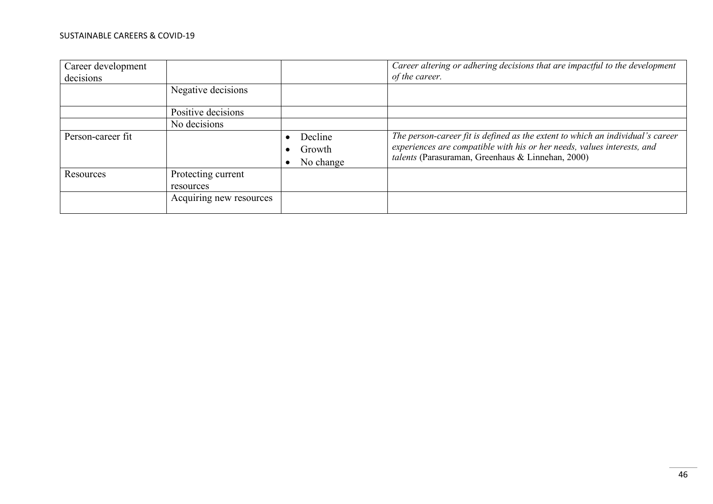#### SUSTAINABLE CAREERS & COVID-19

| Career development<br>decisions |                         |           | Career altering or adhering decisions that are impactful to the development<br>of the career. |
|---------------------------------|-------------------------|-----------|-----------------------------------------------------------------------------------------------|
|                                 | Negative decisions      |           |                                                                                               |
|                                 | Positive decisions      |           |                                                                                               |
|                                 | No decisions            |           |                                                                                               |
| Person-career fit               |                         | Decline   | The person-career fit is defined as the extent to which an individual's career                |
|                                 |                         | Growth    | experiences are compatible with his or her needs, values interests, and                       |
|                                 |                         | No change | talents (Parasuraman, Greenhaus & Linnehan, 2000)                                             |
| Resources                       | Protecting current      |           |                                                                                               |
|                                 | resources               |           |                                                                                               |
|                                 | Acquiring new resources |           |                                                                                               |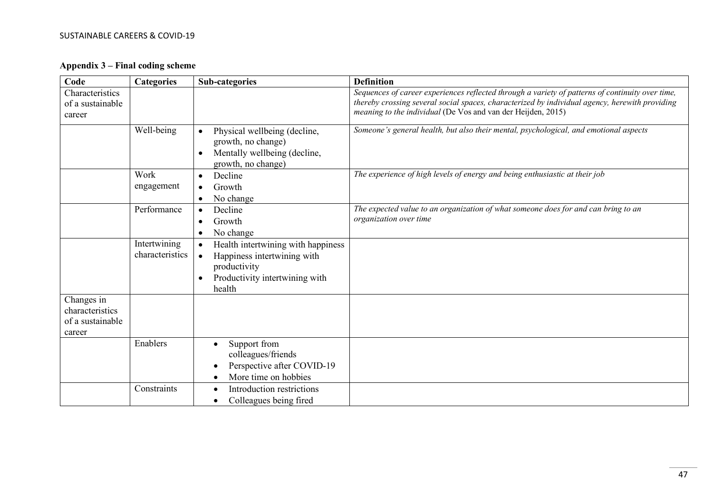#### SUSTAINABLE CAREERS & COVID-19

**Appendix 3 – Final coding scheme**

<span id="page-46-0"></span>

| Code                                                        | <b>Categories</b>               | <b>Sub-categories</b>                                                                                                                                   | <b>Definition</b>                                                                                                                                                                                                                                                         |
|-------------------------------------------------------------|---------------------------------|---------------------------------------------------------------------------------------------------------------------------------------------------------|---------------------------------------------------------------------------------------------------------------------------------------------------------------------------------------------------------------------------------------------------------------------------|
| Characteristics<br>of a sustainable<br>career               |                                 |                                                                                                                                                         | Sequences of career experiences reflected through a variety of patterns of continuity over time,<br>thereby crossing several social spaces, characterized by individual agency, herewith providing<br><i>meaning to the individual</i> (De Vos and van der Heijden, 2015) |
|                                                             | Well-being                      | Physical wellbeing (decline,<br>$\bullet$<br>growth, no change)<br>Mentally wellbeing (decline,<br>$\bullet$<br>growth, no change)                      | Someone's general health, but also their mental, psychological, and emotional aspects                                                                                                                                                                                     |
|                                                             | Work<br>engagement              | Decline<br>$\bullet$<br>Growth<br>$\bullet$<br>No change<br>$\bullet$                                                                                   | The experience of high levels of energy and being enthusiastic at their job                                                                                                                                                                                               |
|                                                             | Performance                     | Decline<br>$\bullet$<br>Growth<br>٠<br>No change<br>$\bullet$                                                                                           | The expected value to an organization of what someone does for and can bring to an<br>organization over time                                                                                                                                                              |
|                                                             | Intertwining<br>characteristics | Health intertwining with happiness<br>$\bullet$<br>Happiness intertwining with<br>$\bullet$<br>productivity<br>Productivity intertwining with<br>health |                                                                                                                                                                                                                                                                           |
| Changes in<br>characteristics<br>of a sustainable<br>career |                                 |                                                                                                                                                         |                                                                                                                                                                                                                                                                           |
|                                                             | Enablers                        | Support from<br>colleagues/friends<br>Perspective after COVID-19<br>More time on hobbies                                                                |                                                                                                                                                                                                                                                                           |
|                                                             | Constraints                     | Introduction restrictions<br>Colleagues being fired                                                                                                     |                                                                                                                                                                                                                                                                           |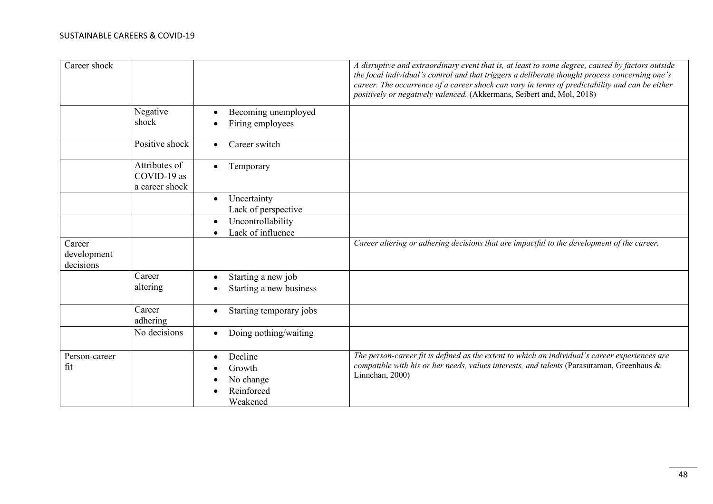| Career shock                       |                                                |                                                                       | A disruptive and extraordinary event that is, at least to some degree, caused by factors outside<br>the focal individual's control and that triggers a deliberate thought process concerning one's<br>career. The occurrence of a career shock can vary in terms of predictability and can be either<br>positively or negatively valenced. (Akkermans, Seibert and, Mol, 2018) |
|------------------------------------|------------------------------------------------|-----------------------------------------------------------------------|--------------------------------------------------------------------------------------------------------------------------------------------------------------------------------------------------------------------------------------------------------------------------------------------------------------------------------------------------------------------------------|
|                                    | Negative<br>shock                              | Becoming unemployed<br>$\bullet$<br>Firing employees                  |                                                                                                                                                                                                                                                                                                                                                                                |
|                                    | Positive shock                                 | Career switch<br>$\bullet$                                            |                                                                                                                                                                                                                                                                                                                                                                                |
|                                    | Attributes of<br>COVID-19 as<br>a career shock | Temporary<br>$\bullet$                                                |                                                                                                                                                                                                                                                                                                                                                                                |
|                                    |                                                | Uncertainty<br>$\bullet$<br>Lack of perspective                       |                                                                                                                                                                                                                                                                                                                                                                                |
|                                    |                                                | Uncontrollability<br>$\bullet$<br>Lack of influence<br>$\bullet$      |                                                                                                                                                                                                                                                                                                                                                                                |
| Career<br>development<br>decisions |                                                |                                                                       | Career altering or adhering decisions that are impactful to the development of the career.                                                                                                                                                                                                                                                                                     |
|                                    | Career<br>altering                             | Starting a new job<br>$\bullet$<br>Starting a new business            |                                                                                                                                                                                                                                                                                                                                                                                |
|                                    | Career<br>adhering                             | Starting temporary jobs<br>$\bullet$                                  |                                                                                                                                                                                                                                                                                                                                                                                |
|                                    | No decisions                                   | Doing nothing/waiting<br>$\bullet$                                    |                                                                                                                                                                                                                                                                                                                                                                                |
| Person-career<br>fit               |                                                | Decline<br>$\bullet$<br>Growth<br>No change<br>Reinforced<br>Weakened | The person-career fit is defined as the extent to which an individual's career experiences are<br>compatible with his or her needs, values interests, and talents (Parasuraman, Greenhaus &<br>Linnehan, 2000)                                                                                                                                                                 |